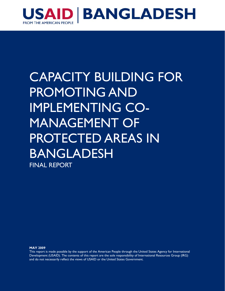

# CAPACITY BUILDING FOR PROMOTING AND IMPLEMENTING CO-MANAGEMENT OF PROTECTED AREAS IN BANGLADESH FINAL REPORT

**MAY 2009** 

This report is made possible by the support of the American People through the United States Agency for International Development (USAID). The contents of this report are the sole responsibility of International Resources Group (IRG) and do not necessarily reflect the views of USAID or the United States Government.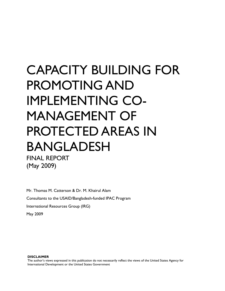# CAPACITY BUILDING FOR PROMOTING AND IMPLEMENTING CO-MANAGEMENT OF PROTECTED AREAS IN BANGLADESH FINAL REPORT

(May 2009)

Mr. Thomas M. Catterson & Dr. M. Khairul Alam Consultants to the USAID/Bangladesh-funded IPAC Program International Resources Group (IRG) May 2009

#### **DISCLAIMER**

The author's views expressed in this publication do not necessarily reflect the views of the United States Agency for International Development or the United States Government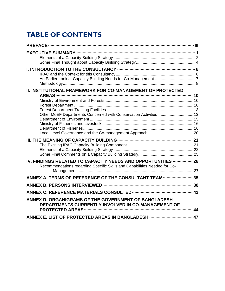# **TABLE OF CONTENTS**

| II. INSTITUTIONAL FRAMEWORK FOR CO-MANAGEMENT OF PROTECTED                                                                                |  |
|-------------------------------------------------------------------------------------------------------------------------------------------|--|
| Other MoEF Departments Concerned with Conservation Activities 13                                                                          |  |
|                                                                                                                                           |  |
| IV. FINDINGS RELATED TO CAPACITY NEEDS AND OPPORTUNITIES  26<br>Recommendations regarding Specific Skills and Capabilities Needed for Co- |  |
| ANNEX A. TERMS OF REFERENCE OF THE CONSULTANT TEAM  35                                                                                    |  |
|                                                                                                                                           |  |
| ANNEX D. ORGANIGRAMS OF THE GOVERNMENT OF BANGLADESH<br>DEPARTMENTS CURRENTLY INVOLVED IN CO-MANAGEMENT OF                                |  |
| ANNEX E. LIST OF PROTECTED AREAS IN BANGLADESH  47                                                                                        |  |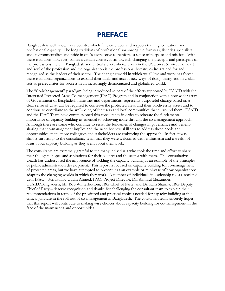# **PREFACE**

Bangladesh is well known as a country which fully embraces and respects training, education, and professional capacity. The long traditions of professionalism among the foresters, fisheries specialists, and environmentalists and pride in one's cadre serve to reinforce a sense of purpose and mission. With these traditions, however, comes a certain conservatism towards changing the precepts and paradigms of the professions, here in Bangladesh and virtually everywhere. Even in the US Forest Service, the heart and soul of the profession and the organization is the professional forestry cadre, trained for and recognized as the leaders of their sector. The changing world in which we all live and work has forced these traditional organizations to expand their ranks and accept new ways of doing things and new skill sets as prerequisites for success in an increasingly democratized and globalized world.

The "Co-Management" paradigm, being introduced as part of the efforts supported by USAID with the Integrated Protected Areas Co-management (IPAC) Program and in conjunction with a now wider array of Government of Bangladesh ministries and departments, represents purposeful change based on a clear sense of what will be required to conserve the protected areas and their biodiversity assets and to continue to contribute to the well-being of the users and local communities that surround them. USAID and the IPAC Team have commissioned this consultancy in order to reiterate the fundamental importance of capacity building as essential to achieving more through the co-management approach. Although there are some who continue to resist the fundamental changes in governance and benefitsharing that co-management implies and the need for new skill sets to address these needs and opportunities, many more colleagues and stakeholders are embracing the approach. In fact, it was almost surprising to the consultancy team that they were welcomed with enthusiasm and a wealth of ideas about capacity building as they went about their work.

The consultants are extremely grateful to the many individuals who took the time and effort to share their thoughts, hopes and aspirations for their country and the sector with them. This consultative wealth has underscored the importance of tackling the capacity building as an example of the principles of public administration development. This report is focused on capacity building for co-management of protected areas, but we have attempted to present it as an example or mini-case of how organizations adapt to the changing worlds in which they work. A number of individuals in leadership roles associated with IPAC – Mr. Isthiaq Uddin Ahmed, IPAC Project Director, Dr. Azharul Mazumder, USAID/Bangladesh, Mr. Bob Winterbottom, IRG Chief of Party, and Dr. Ram Sharma, IRG Deputy Chief of Party – deserve recognition and thanks for challenging the consultant team to explain their recommendations in terms of the prioritized and practical choices needed for capacity building at this critical juncture in the roll-out of co-management in Bangladesh. The consultant team sincerely hopes that this report will contribute to making wise choices about capacity building for co-management in the face of the many needs and opportunities.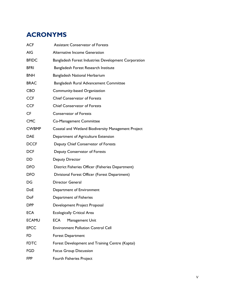# **ACRONYMS**

| <b>ACF</b>   | <b>Assistant Conservator of Forests</b>              |
|--------------|------------------------------------------------------|
| <b>AIG</b>   | <b>Alternative Income Generation</b>                 |
| <b>BFIDC</b> | Bangladesh Forest Industries Development Corporation |
| <b>BFRI</b>  | Bangladesh Forest Research Institute                 |
| <b>BNH</b>   | Bangladesh National Herbarium                        |
| <b>BRAC</b>  | Bangladesh Rural Advancement Committee               |
| <b>CBO</b>   | Community-based Organization                         |
| <b>CCF</b>   | <b>Chief Conservator of Forests</b>                  |
| <b>CCF</b>   | Chief Conservator of Forests                         |
| <b>CF</b>    | <b>Conservator of Forests</b>                        |
| <b>CMC</b>   | Co-Management Committee                              |
| <b>CWBMP</b> | Coastal and Wetland Biodiversity Management Project  |
| <b>DAE</b>   | Department of Agriculture Extension                  |
| <b>DCCF</b>  | Deputy Chief Conservator of Forests                  |
| <b>DCF</b>   | Deputy Conservator of Forests                        |
| DD           | <b>Deputy Director</b>                               |
| <b>DFO</b>   | District Fisheries Officer (Fisheries Department)    |
| <b>DFO</b>   | Divisional Forest Officer (Forest Department)        |
| DG           | <b>Director General</b>                              |
| DoE          | Department of Environment                            |
| DoF          | Department of Fisheries                              |
| DPP          | Development Project Proposal                         |
| <b>ECA</b>   | <b>Ecologically Critical Area</b>                    |
| <b>ECAMU</b> | <b>ECA</b><br>Management Unit                        |
| <b>EPCC</b>  | <b>Environment Pollution Control Cell</b>            |
| FD           | <b>Forest Department</b>                             |
| <b>FDTC</b>  | Forest Development and Training Centre (Kaptai)      |
| <b>FGD</b>   | <b>Focus Group Discussion</b>                        |
| FPP          | Fourth Fisheries Project                             |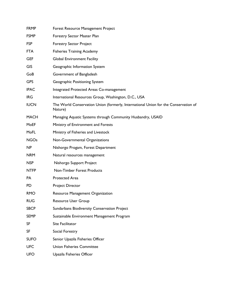| <b>FRMP</b> | Forest Resource Management Project                                                             |
|-------------|------------------------------------------------------------------------------------------------|
| <b>FSMP</b> | Forestry Sector Master Plan                                                                    |
| <b>FSP</b>  | <b>Forestry Sector Project</b>                                                                 |
| <b>FTA</b>  | <b>Fisheries Training Academy</b>                                                              |
| <b>GEF</b>  | <b>Global Environment Facility</b>                                                             |
| <b>GIS</b>  | Geographic Information System                                                                  |
| GoB         | Government of Bangladesh                                                                       |
| <b>GPS</b>  | Geographic Positioning System                                                                  |
| <b>IPAC</b> | Integrated Protected Areas Co-management                                                       |
| <b>IRG</b>  | International Resources Group, Washington, D.C., USA                                           |
| <b>IUCN</b> | The World Conservation Union (formerly, International Union for the Conservation of<br>Nature) |
| <b>MACH</b> | Managing Aquatic Systems through Community Husbandry, USAID                                    |
| MoEF        | Ministry of Environment and Forests                                                            |
| MoFL        | Ministry of Fisheries and Livestock                                                            |
| <b>NGOs</b> | Non-Governmental Organizations                                                                 |
| NP          | Nishorgo Progam, Forest Department                                                             |
| <b>NRM</b>  | Natural resources management                                                                   |
| <b>NSP</b>  | Nishorgo Support Project                                                                       |
| <b>NTFP</b> | <b>Non-Timber Forest Products</b>                                                              |
| PA          | Protected Area                                                                                 |
| <b>PD</b>   | Project Director                                                                               |
| <b>RMO</b>  | Resource Management Organization                                                               |
| <b>RUG</b>  | Resource User Group                                                                            |
| <b>SBCP</b> | Sundarbans Biodiversity Conservation Project                                                   |
| <b>SEMP</b> | Sustainable Environment Management Program                                                     |
| <b>SF</b>   | Site Facilitator                                                                               |
| SF          | Social Forestry                                                                                |
| <b>SUFO</b> | Senior Upazila Fisheries Officer                                                               |
| <b>UFC</b>  | <b>Union Fisheries Committee</b>                                                               |
| <b>UFO</b>  | Upazila Fisheries Officer                                                                      |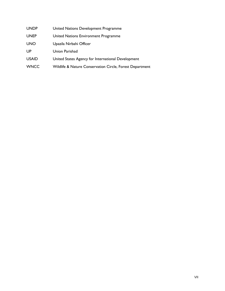| UNDP |  | United Nations Development Programme |  |
|------|--|--------------------------------------|--|
|------|--|--------------------------------------|--|

- UNEP United Nations Environment Programme
- UNO Upazila Nirbahi Officer
- UP Union Parishad
- USAID United States Agency for International Development
- WNCC Wildlife & Nature Conservation Circle, Forest Department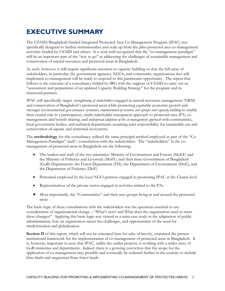# **EXECUTIVE SUMMARY**

The USAID/Bangladesh-funded Integrated Protected Area Co-Management Program (IPAC) was specifically designed to further institutionalize and scale up from the pilot protected area co-management activities funded by USAID and others. It is now well recognized that the "co-management paradigm" will be an important part of the "way to go" in addressing the challenges of sustainable management and conservation of natural resources and protected areas in Bangladesh.

As such, however, it will require significant attention to capacity building so that the full array of stakeholders, in particular, the government agencies, NGOs, and community organizations that will implement co-management will be ready to respond to this paramount opportunity. The report that follows is the outcome of a consultancy fielded by IRG with the support of USAID to carry out an "assessment and preparation of an updated Capacity Building Strategy" for the program and its interested partners.

IPAC will specifically target: *strengthening of stakeholders* engaged in natural resources management (NRM) and conservation of Bangladesh's protected areas while promoting equitable economic growth and stronger environmental governance systems; *empowerment of resource user groups and capacity building* to enable their central role in a participatory, multi-stakeholder transparent approach to protected area (PA) comanagement and benefit sharing; and *widespread adoption of the co-management approach* with communities, local government bodies, and technical departments assuming joint responsibility for sustainable use and conservation of aquatic and terrestrial ecosystems.

The **methodology** for this consultancy utilized the same principal method employed as part of the "Co-Management Paradigm" itself – consultation with the stakeholders. The "stakeholders" in the comanagement of protected areas in Bangladesh are the following:

- The leaders and staff of the two ministries: Ministry of Environment and Forests (MoEF) and the Ministry of Fisheries and Livestock (MoFL) and their three Government of Bangladesh (GoB) Departments: the Forest Department (FD), the Department of Environment (DoE), and the Department of Fisheries (DoF)
- Personnel employed by the local NGO partners engaged in promoting IPAC at the Cluster level
- Representatives of the private sector engaged in activities related to the PAs
- Most importantly, the "Communities" and their user groups living in and around the protected areas

The basic logic of these consultations with the stakeholders was the questions essential to any consideration of organizational change – "What's new? and What does the organization need to meet these changes?" Applying this basic logic was viewed as a mini-case study in the adaptation of public administration, how an organization meets the challenges, and opportunities of the need for modernization and globalization.

**Section II** of this report, which will not be reiterated here for sake of brevity, examined the present institutional framework for the implementation of co-management of protected areas in Bangladesh. It is, however, important to note that IPAC, unlike the earlier projects, is working with a wider array of GoB ministries and departments. Indeed , there is a growing conviction that the scope for the application of co-management may possibly and eventually be widened further in the country to include khas lands and ungazetted State forest lands.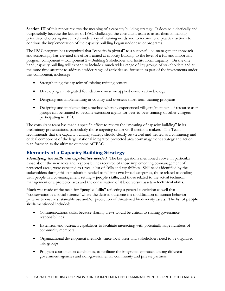**Section III** of this report reviews the meaning of a capacity building strategy. It does so didactically and purposefully because the leaders of IPAC challenged the consultant team to assist them in making prioritized choices against a likely wide array of training needs and to recommend practical actions to continue the implementation of the capacity building begun under earlier programs.

The IPAC program has recognized that "capacity is pivotal" to a successful co-management approach and accordingly has elevated the efforts aimed at capacity building to the level of a full and important program component – Component 2 – Building Stakeholder and Institutional Capacity. On the one hand, capacity building will expand to include a much wider range of key groups of stakeholders and at the same time attempt to address a wider range of activities as foreseen as part of the investments under this component, including:

- Strengthening the capacity of existing training centers
- Developing an integrated foundation course on applied conservation biology
- Designing and implementing in-country and overseas short-term training programs
- Designing and implementing a method whereby experienced villagers/members of resource user groups can be trained to become extension agents for peer-to-peer training of other villagers participating in IPAC

The consultant team has made a specific effort to review the "meaning of capacity building" in its preliminary presentations, particularly those targeting senior GoB decision-makers. The Team recommends that the capacity building strategy should clearly be viewed and treated as a continuing and critical component of the larger national integrated protected area co-management strategy and action plan foreseen as the ultimate outcome of IPAC.

# **Elements of a Capacity Building Strategy**

**Identifying the skills and capabilities needed**: The key questions mentioned above, in particular those about the new roles and responsibilities required of those implementing co-management of protected areas, were expected to reveal a list of skills and capabilities. Skill needs identified by the stakeholders during this consultation tended to fall into two broad categories, those related to dealing with people in a co-management setting – **people skills**, and those related to the actual technical management of a protected area and the conservation of it biodiversity assets – **technical skills**.

Much was made of the need for **"people skills"** reflecting a general conviction as well that "conservation is a social science" where the desired outcome is a modification of human behavior patterns to ensure sustainable use and/or protection of threatened biodiversity assets. The list of **people skills** mentioned included:

- Communications skills, because sharing views would be critical to sharing governance responsibilities
- Extension and outreach capabilities to facilitate interacting with potentially large numbers of community members
- Organizational development methods, since local users and stakeholders need to be organized into groups
- Program coordination capabilities, to facilitate the integrated approach among different government agencies and non-governmental, community and private partners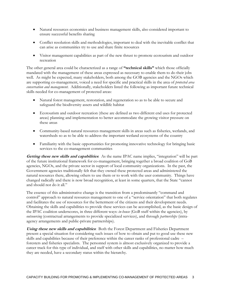- Natural resources economics and business management skills, also considered important to ensure successful benefits sharing
- Conflict resolution skills and methodologies, important to deal with the inevitable conflict that can arise as communities try to use and share finite resources
- Visitor management capabilities as part of the new thrust to promote ecotourism and outdoor recreation

The other general area could be characterized as a range of **"technical skills"** which those officially mandated with the management of these areas expressed as necessary to enable them to do their jobs well. As might be expected, many stakeholders, both among the GOB agencies and the NGOs which are supporting co-management, voiced a need for specific and practical skills in the area of *protected area conservation and management*. Additionally, stakeholders listed the following as important future technical skills needed for co-management of protected areas:

- Natural forest management, restoration, and regeneration so as to be able to secure and safeguard the biodiversity assets and wildlife habitat
- Ecotourism and outdoor recreation (these are defined as two different end uses for protected areas) planning and implementation to better accommodate the growing visitor pressure on these areas
- Community-based natural resources management skills in areas such as fisheries, wetlands, and watersheds so as to be able to address the important wetland ecosystems of the country
- Familiarity with the basic opportunities for promoting innovative technology for bringing basic services to the co-management communities

**Getting these new skills and capabilities**: As the name IPAC name implies, "integration" will be part of the future institutional framework for co-management, bringing together a broad coalition of GoB agencies, NGOs, and the private sector in support of local community organizations. In the past, the Government agencies traditionally felt that they owned these protected areas and administered the natural resources there, allowing others to use them or to work with the user community. Things have changed radically and there is now broad recognition, at least in some quarters, that the State "cannot and should not do it all."

The essence of this administrative change is the transition from a predominantly "command and control" approach to natural resources management to one of a "service orientation" that both regulates and facilitates the use of resources for the betterment of the citizens and their development needs. Obtaining the skills and capabilities to provide these services can be accomplished, as the basic design of the IPAC coalition underscores, in three different ways: *in-house* (GoB staff within the agencies), by *outsourcing* (contractual arrangements to provide specialized services), and through *partnerships* (intraagency arrangements and public-private partnerships).

**Using these new skills and capabilities**: Both the Forest Department and Fisheries Department present a special situation for considering such issues of how to obtain and put to good use these new skills and capabilities because of their preference within the career ranks of professional cadre – foresters and fisheries specialists. The personnel system is almost exclusively organized to provide a career track for this type of individual, and staff with other skills and capabilities, no matter how much they are needed, have a secondary status within the hierarchy.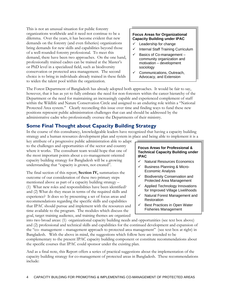This is not an unusual situation for public forestry organizations worldwide and it need not continue to be a dilemma. Over the years, it has become evident that new demands on the forestry (and even fisheries) organizations bring demands for new skills and capabilities beyond those of a well-rounded forestry professional. To meet this demand, there have been two approaches. On the one hand, professionally trained cadres can be trained at the Master's or PhD level in a specialized field, such as biodiversity conservation or protected area management. The second choice is to bring in individuals already trained in these fields to widen the talent pool within the organization.

### **Focus Areas for Organizational Capacity Building under IPAC**

- Leadership for change
- $\checkmark$  Internal Staff Training Curriculum
- Basics of Co-management community organization and motivation – development sociology
- $\checkmark$  Communications, Outreach, Advocacy, and Extension

The Forest Department of Bangladesh has already adopted both approaches. It would be fair to say, however, that it has as yet to fully embrace the need for non-foresters within the career hierarchy of the Department or the need for maintaining an increasingly capable and experienced complement of staff within the Wildlife and Nature Conservation Circle and assigned to an enduring role within a "National Protected Area system." Clearly reconciling this issue over time and finding ways to fund these new positions represent public administration challenges that can and should be addressed by the administrative cadre who professionally oversee the Departments of their ministry.

# **Some Final Thought about Capacity Building Strategy**

In the course of this consultancy, knowledgeable leaders have recognized that having a capacity building strategy and a human resources development plan and system in place and being able to implement it is a

key attribute of a progressive public administration able to adapt to the challenges and opportunities of the sector and country where it works. The consultant team would hope that one of the most important points about a co-management oriented capacity building strategy for Bangladesh will be a growing understanding that "capacity is grown, not created".

The final section of this report, **Section IV,** summarizes the outcome of our consideration of these two primary steps mentioned above as part of a capacity building strategy – (1) What new roles and responsibilities have been identified? and (2) What do they mean in terms of the required skills and experience? It does so by presenting a set of focus areas and recommendations regarding the specific skills and capabilities that IPAC should pursue and implement with the resources and time available to the program. The modules which discuss the goal, target training audience, and training themes are organized

### **Focus Areas for Professional & Technical Capacity Building under IPAC**

- $\checkmark$  Natural Resources Economics
- $\checkmark$  Business Planning & Micro-Economic Analysis
- $\checkmark$  Biodiversity Conservation and Protected Area Management
- $\checkmark$  Applied Technology Innovations for Improved Village Livelihoods
- $\checkmark$  Natural Forest Management and Restoration
- $\checkmark$  Best Practices in Open Water Fisheries Management

into two broad areas: (1) organizational capacity building needs and opportunities (see text box above) and (2) professional and technical skills and capabilities for the continued development and expansion of the "co- management – management approach to protected area management" (see text box at right) in Bangladesh. With the above in mind, the suggestions which follow here are intended to be complementary to the present IPAC capacity building component or constitute recommendations about the specific courses that IPAC could sponsor under the existing plan.

And as a final note, this Report offers a series of practical suggestions about the implementation of the capacity building strategy for co-management of protected areas in Bangladesh. These recommendations include: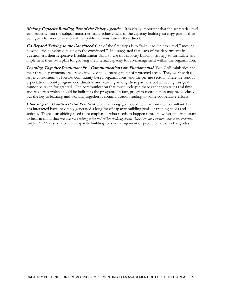**Making Capacity Building Part of the Policy Agenda**: It is vitally important that the secretarial level authorities within the subject ministries make achievement of the capacity building strategy part of their own goals for modernization of the public administrations they direct.

**Go Beyond Talking to the Convinced**: One of the first steps is to "take it to the next level," moving beyond "the convinced talking to the convinced." It is suggested that each of the departments in question ask their respective Establishment Units to use this capacity building strategy to formulate and implement their own plan for growing the internal capacity for co-management within the organization.

**Learning Together Institutionally – Communications are Fundamental**: Two GoB ministries and their three departments are already involved in co-management of protected areas. They work with a larger consortium of NGOs, community-based organizations, and the private sector. There are serious expectations about program coordination and learning among these partners but achieving this goal cannot be taken for granted. The communication that must underpin these exchanges takes real time and resources which should be built into the program. In fact, program coordination may prove elusive, but the key to learning and working together is communication leading to some cooperative efforts.

**Choosing the Prioritized and Practical**: The many engaged people with whom the Consultant Team has interacted have inevitably generated a long list of capacity building goals or training needs and actions. There is an abiding need to re-emphasize what needs to happen next. However, it is important to bear in mind that we are *not making a list but rather making choices, based on our common view of the priorities and practicalities* associated with capacity building for co-management of protected areas in Bangladesh.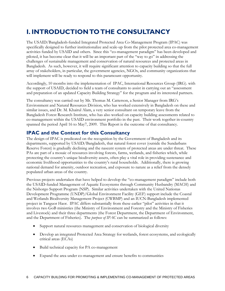# **I. INTRODUCTION TO THE CONSULTANCY**

The USAID/Bangladesh-funded Integrated Protected Area Co-Management Program (IPAC) was specifically designed to further institutionalize and scale-up from the pilot protected area co-management activities funded by USAID and others. Since this "co-management paradigm" has been developed and piloted, it has become clear that it will be an important part of the "way to go" in addressing the challenges of sustainable management and conservation of natural resources and protected areas in Bangladesh. As such, however, it will require significant attention to capacity building so that the full array of stakeholders, in particular, the government agencies, NGOs, and community organizations that will implement will be ready to respond to this paramount opportunity.

Accordingly, 10 months into the implementation of IPAC, International Resources Group (IRG). with the support of USAID, decided to field a team of consultants to assist in carrying out an "assessment and preparation of an updated Capacity Building Strategy" for the program and its interested partners.

The consultancy was carried out by Mr. Thomas M. Catterson, a Senior Manager from IRG's Environment and Natural Resources Division, who has worked extensively in Bangladesh on these and similar issues, and Dr. M. Khairul Alam, a very senior consultant on temporary leave from the Bangladesh Forest Research Institute, who has also worked on capacity building assessments related to co-management within the USAID environment portfolio in the past. Their work together in-country spanned the period April 16 to May7, 2009. This Report is the outcome of that consultancy.

# **IPAC and the Context for this Consultancy**

The design of IPAC is predicated on the recognition by the Government of Bangladesh and its departments, supported by USAID/Bangladesh, that natural forest cover (outside the Sundarbans Reserve Forest) is gradually declining and the nascent system of protected areas are under threat. These PAs are part of a mosaic of resources involving forests, farms, wetlands, and fisheries which, while protecting the country's unique biodiversity assets, often play a vital role in providing sustenance and economic livelihood opportunities to the country's rural households. Additionally, there is growing national demand for amenity, outdoor recreation, and exposure to nature as a relief from the densely populated urban areas of the country.

Previous projects undertaken that have helped to develop the "co-management paradigm" include both the USAID-funded Management of Aquatic Ecosystems through Community Husbandry (MACH) and the Nishorgo Support Program (NSP). Similar activities undertaken with the United Nationas Development Programme (UNDP)/Global Environment Facility (GEF) support include the Coastal and Wetlands Biodiversity Management Project (CWBMP) and an IUCN-Bangladesh implemented project in Tanguor Haor. IPAC differs substantially from these earlier "pilot" activities in that it involves two GoB ministries (the Ministry of Environment and Forestry and the Ministry of Fisheries and Livestock) and their three departments (the Forest Department, the Department of Environment, and the Department of Fisheries). The *purpose of IPAC* can be summarized as follows:

- Support natural resources management and conservation of biological diversity
- Develop an integrated Protected Area Strategy for wetlands, forest ecosystems, and ecologically critical areas (ECAs)
- Build technical capacity for PA co-management
- Expand the area under co-management and ensure benefits to communities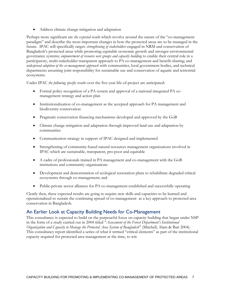Address climate change mitigation and adaptation

Perhaps more significant are *the expected results* which revolve around the nature of the "co-management paradigm" and describe the most important changes in how the protected areas are to be managed in the future. IPAC will specifically target: *strengthening of stakeholders* engaged in NRM and conservation of Bangladesh's protected areas while promoting equitable economic growth and stronger environmental governance systems; *empowerment of resource user groups and capacity building* to enable their central role in a participatory, multi-stakeholder transparent approach to PA co-management and benefit-sharing; and *widespread adoption of the co-management approach* with communities, local government bodies, and technical departments assuming joint responsibility for sustainable use and conservation of aquatic and terrestrial ecosystems.

Under IPAC *the following specific results* over the five-year life-of-project are anticipated:

- Formal policy recognition of a PA system and approval of a national integrated PA comanagement strategy and action plan
- Institutionalization of co-management as the accepted approach for PA management and biodiversity conservation
- Pragmatic conservation financing mechanisms developed and approved by the GoB
- Climate change mitigation and adaptation through improved land-use and adaptation by communities
- Communication strategy in support of IPAC designed and implemented
- Strengthening of community-based natural resources management organizations involved in IPAC which are sustainable, transparent, pro-poor and equitable
- A cadre of professionals trained in PA management and co-management with the GoB institutions and community organizations
- Development and demonstration of ecological restoration plans to rehabilitate degraded critical ecosystems through co-management; and
- Public-private sector alliances for PA co-management established and successfully operating

Clearly then, these expected results are going to require new skills and capacities to be learned and operationalized to sustain the continuing spread of co-management as a key approach to protected area conservation in Bangladesh.

# An Earlier Look at Capacity Building Needs for Co-Management

This consultancy is expected to build on the purposeful focus on capacity building that began under NSP in the form of a study carried out in 2004 titled "*Assessment of the Forest Department's Institutional Organization and Capacity to Manage the Protected Area System of Bangladesh*" (Mitchell, Alam & Bari 2004). This consultancy report identified a series of what it termed "critical elements" as part of the institutional capacity required for protected area management at the time, to wit: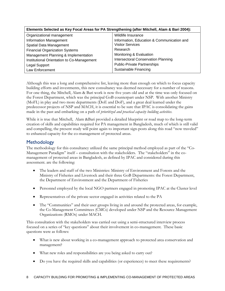| Elements Selected as Key Focal Areas for PA Strengthening (after Mitchell, Alam & Bari 2004): |                                            |  |  |  |
|-----------------------------------------------------------------------------------------------|--------------------------------------------|--|--|--|
| Organizational management                                                                     | Wildlife Insurance                         |  |  |  |
| <b>Information Management</b>                                                                 | Information, Education & Communication and |  |  |  |
| Spatial Data Management                                                                       | <b>Visitor Services</b>                    |  |  |  |
| <b>Financial Organization Systems</b>                                                         | Research                                   |  |  |  |
| Management Planning & Implementation                                                          | Monitoring & Evaluation                    |  |  |  |
| Institutional Orientation to Co-Management                                                    | <b>Intersectoral Conservation Planning</b> |  |  |  |
| Legal Support                                                                                 | <b>Public-Private Partnerships</b>         |  |  |  |
| Law Enforcement                                                                               | Sustainable Financing                      |  |  |  |

Although this was a long and comprehensive list, leaving more than enough on which to focus capacity building efforts and investments, this new consultancy was deemed necessary for a number of reasons. For one thing, the Mitchell, Alam & Bari work is now five years old and at the time was only focused on the Forest Department, which was the principal GoB counterpart under NSP. With another Ministry (MoFL) in play and two more departments (DoE and DoF), and a great deal learned under the predecessor projects of NSP and MACH, it is essential to be sure that IPAC is consolidating the gains made in the past and embarking on a path of *prioritized and practical capacity building activities.* 

While it is true that Mitchell, Alam &Bari provided a detailed blueprint or road map to the long-term creation of skills and capabilities required for PA management in Bangladesh, much of which is still valid and compelling, the present study will point again to important sign-posts along this road "now traveled" to enhanced capacity for the co-management of protected areas.

# **Methodology**

The methodology for this consultancy utilized the same principal method employed as part of the "Co-Management Paradigm" itself – consultation with the stakeholders. The "stakeholders" in the comanagement of protected areas in Bangladesh, as defined by IPAC and considered during this assessment. are the following:

- The leaders and staff of the two Ministries: Ministry of Environment and Forests and the Ministry of Fisheries and Livestock and their three GoB Departments: the Forest Department, the Department of Environment and the Department of Fisheries
- Personnel employed by the local NGO partners engaged in promoting IPAC at the Cluster level
- Representatives of the private sector engaged in activities related to the PA
- The "Communities" and their user groups living in and around the protected areas, for example, the Co-Management Committees (CMCs) developed under NSP and the Resource Management Organizations (RMOs) under MACH.

This consultation with the stakeholders was carried out using a semi-structured interview process focused on a series of "key questions" about their involvement in co-management. These basic questions were as follows:

- What is new about working in a co-management approach to protected area conservation and management?
- What new roles and responsibilities are you being asked to carry out?
- Do you have the required skills and capabilities (or experiences) to meet these requirements?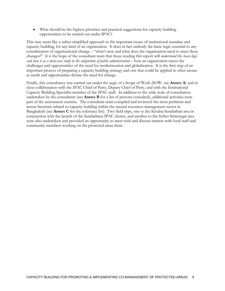What should be the highest priorities and practical suggestions for capacity building opportunities to be carried out under IPAC?

This may seem like a rather simplified approach to the important issues of institutional mandate and capacity building, for any kind of an organization. It does in fact embody the basic logic essential to any consideration of organizational change – "what's new and what does the organization need to meet these changes?" It is the hope of the consultant team that those reading this report will *understand this basic logic and view it as a mini-case study in the adaptation of public administration* – how an organization meets the challenges and opportunities of the need for modernization and globalization. It is the first step of an important process of preparing a capacity building strategy and one that could be applied in other arenas as needs and opportunities dictate the need for change.

Finally, this consultancy was carried out under the aegis of a Scope of Work (SOW- see **Annex A**) and in close collaboration with the IPAC Chief of Party, Deputy Chief of Party, and with the Institutional Capacity Building Specialist member of the IPAC staff. In addition to the wide scale of consultation undertaken by the consultants (see **Annex B** for a list of persons consulted), additional activities were part of the assessment exercise. The consultant team compiled and reviewed the most pertinent and recent literature related to capacity building within the natural resources management sector in Bangladesh (see **Annex C** for the reference list). Two field trips, one to the Khulna-Sundarban area in conjunction with the launch of the Sundarbans IPAC cluster, and another to the Sylhet-Srimongal area were also undertaken and provided an opportunity to meet with and discuss matters with local staff and community members working on the protected areas there.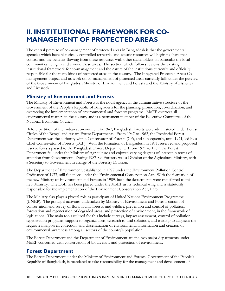# **II. INSTITUTIONAL FRAMEWORK FOR CO-MANAGEMENT OF PROTECTED AREAS**

The central premise of co-management of protected areas in Bangladesh is that the governmental agencies which have historically controlled terrestrial and aquatic resources will begin to share that control and the benefits flowing from these resources with other stakeholders, in particular the local communities living in and around these areas. The section which follows reviews the existing institutional framework for co-management and the nature of the institutions currently and officially responsible for the many kinds of protected areas in the country. The Integrated Protected Areas Comanagement project and its work on co-management of protected areas currently falls under the purview of the Government of Bangladesh Ministry of Environment and Forests and the Ministry of Fisheries and Livestock.

# **Ministry of Environment and Forests**

The Ministry of Environment and Forests is the nodal agency in the administrative structure of the Government of the People's Republic of Bangladesh for the planning, promotion, co-ordination, and overseeing the implementation of environmental and forestry programs. MoEF oversees all environmental matters in the country and is a permanent member of the Executive Committee of the National Economic Council.

Before partition of the Indian sub-continent in 1947, Bangladesh forests were administered under Forest Circles of the Bengal and Assam Forest Departments. From 1947 to 1962, the Provincial Forest Department was the authority with a Conservator of Forests (CF), and subsequently, until 1971, led by a Chief Conservator of Forests (CCF). With the formation of Bangladesh in 1971, reserved and proposed reserve forests passed to the Bangladesh Forest Department. From 1971 to 1989, the Forest Department fell under the Ministry of Agriculture and enjoyed varying degrees of interest in terms of attention from Government. During 1987-89, Forestry was a Division of the Agriculture Ministry, with a Secretary to Government in charge of the Forestry Division.

The Department of Environment, established in 1977 under the Environment Pollution Control Ordinance of 1977, still functions under the Environmental Conservation Act. With the formation of the new Ministry of Environment and Forests in 1989, both the departments were transferred to this new Ministry. The DoE has been placed under the MoEF as its technical wing and is statutorily responsible for the implementation of the Environment Conservation Act, 1995.

The Ministry also plays a pivotal role as participant of United Nations Environment Programme (UNEP). The principal activities undertaken by Ministry of Environment and Forests consist of conservation and survey of flora, fauna, forests, and wildlife, prevention and control of pollution, forestation and regeneration of degraded areas, and protection of environment, in the framework of legislations. The main tools utilized for this include surveys, impact assessment, control of pollution, regeneration programs, support to organizations, research to find solutions, and training to augment the requisite manpower, collection, and dissemination of environmental information and creation of environmental awareness among all sectors of the country's population.

The Forest Department and the Department of Environment are the two major departments under MoEF concerned with conservation of biodiversity and protection of environment.

# **Forest Department**

The Forest Department, under the Ministry of Environment and Forests, Government of the People's Republic of Bangladesh, is mandated to take responsibility for the management and development of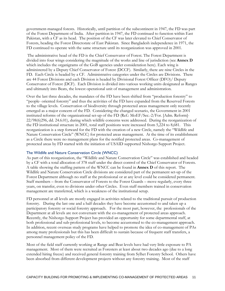government-managed forests. Historically, until partition of the subcontinent in 1947, the FD was part of the Forest Department of India. After partition in 1947, the FD continued to function within East Pakistan, with a CF as its head. The position of the CF was later elevated to Chief Conservator of Forests, heading the Forest Directorate of East Pakistan. Since Bangladesh independence in 1971, the FD continued to operate with the same structure until its reorganization was approved in 2001.

 The administrative head of the FD is the Chief Conservator of Forest. The Forest Department is divided into four wings considering the magnitude of the works and line of jurisdiction (see **Annex D** which includes the organigrams of the GoB agencies under consideration here). Each wing is administered by a Deputy Chief Conservator of Forest (DCCF). Similarly, there are nine Circles in the FD. Each Circle is headed by a CF. Administrative categories under the Circles are Divisions. There are 44 Forest Divisions and each Division is headed by Divisional Forest Officer (DFO)/ Deputy Conservator of Forest (DCF). Each Division is divided into various working units designated as Ranges and ultimately into Beats, the lowest operational unit of management and administration.

Over the last three decades, the mandates of the FD have been shifted from "production forestry" to "people- oriented forestry" and thus the activities of the FD have expanded from the Reserved Forests to the village levels. Conservation of biodiversity through protected areas management only recently emerged as a major concern of the FD. Considering the changed scenario, the Government in 2001 instituted reforms of the organizational set-up of the FD (Ref.: MoEF/Sec.-2/For. [Adm. Reform]- 22/98(6)296, dd. 24.6.01), during which wildlife concerns were addressed. During the reorganization of the FD institutional structure in 2001, total staff positions were increased from 5,224 to 8,681. This reorganization is a step forward for the FD with the creation of a new Circle, namely the "Wildlife and Nature Conservation Circle" (WNCC) for protected areas management. At the time of its establishment as a Circle there were no management plans for the notified protected areas. Co-management of protected areas by FD started with the initiation of USAID supported Nishorgo Support Project.

#### The Wildlife and Nature Conservation Circle (WNCC)

As part of this reorganization, the "Wildlife and Nature Conservation Circle" was established and headed by a CF with a total allocation of 378 staff under the direct control of the Chief Conservator of Forests. A table showing the staffing pattern of the WNCC can be found in **Annex D** of this report. The Wildlife and Nature Conservation Circle divisions are considered part of the permanent set-up of the Forest Department although no staff at the professional or at any level could be considered permanent. Staff members – from the Conservator of Forests to the Forest Guards – move regularly, every three years, on transfer, even to divisions under other Circles. Even staff members trained in conservation management are transferred, which is a weakness of the institutional setup.

FD personnel at all levels are mostly engaged in activities related to the traditional pursuit of production forestry. During the last one and a half decades they have become accustomed to and taken up a participatory forestry or social forestry approach. For the most part, however, the professionals of the Department at all levels are not conversant with the co-management of protected areas approach. Recently, the Nishorgo Support Project has provided an opportunity for some departmental staff, at both professional and sub-professional levels, to become accustomed to the co-management approach. In addition, recent overseas study programs have helped to promote the idea of co-management of PAs among many professionals but this has been difficult to sustain because of frequent staff transfers, a personnel management policy of the FD.

Most of the field staff currently working at Range and Beat levels have had very little exposure to PA management. Most of them were recruited as Foresters at least about two decades ago (due to a long extended hiring freeze) and received general forestry training from Sylhet Forestry School. Others have been absorbed from different development projects without any forestry training. Most of the staff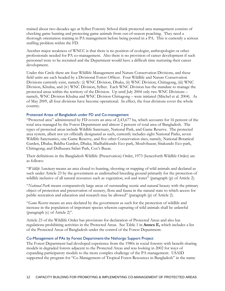trained about two decades ago at Sylhet Forestry School think protected area management consists of checking game hunting and protecting game animals from out-of-season poaching. They need a thorough orientation training in PA management before being posted in a PA. This is currently a serious staffing problem within the FD.

Another major weakness of WNCC is that there is no position of ecologist, anthropologist or other professionals needed for PA co-management. Also there is no provision of career development if such personnel were to be recruited and the Department would have a difficult time nurturing their career development.

Under this Circle there are four Wildlife Management and Nature Conservation Divisions, and these field units are each headed by a Divisional Forest Officer. Four Wildlife and Nature Conservation Divisions currently exist, namely: (i) WNC Division, Dhaka, (ii) WNC Division, Chittagong, (iii) WNC Division, Khulna, and (iv) WNC Division, Sylhet. Each WNC Division has the mandate to manage the protected areas within the territory of the Division. Up until July 2004 only two WNC Divisions – namely, WNC Division Khulna and WNC Division Chittagong – were initiated (Mitchel et al. 2004). As of May 2009, all four divisions have become operational. In effect, the four divisions cover the whole country.

#### Protected Areas of Bangladesh under FD and Co-management

"Protected area" administered by FD covers an area of 2,43,677 ha, which accounts for 16 percent of the total area managed by the Forest Department and almost 2 percent of total area of Bangladesh. The types of protected areas include Wildlife Sanctuary, National Park, and Game Reserve. The protected area system, albeit not yet officially designated as such, currently includes eight National Parks, seven Wildlife Sanctuaries, one Game Reserve, and five other Conservation sites, namely, National Botanical Garden, Dhaka; Baldha Garden, Dhaka; Madhabkundo Eco-park, Moulvibazar; Sitakundo Eco-park, Chittagong; and Dulhazara Safari Park, Cox's Bazar.

Their definitions in the Bangladesh Wildlife (Preservation) Order, 1973 (henceforth Wildlife Order) are as follows:

"*Wildlife Sanctuary* means an area closed to hunting, shooting or trapping of wild animals and declared as such under Article 23 by the government as undisturbed breeding ground primarily for the protection of wildlife inclusive of all natural resources such as vegetation, soil and water" (paragraph (p) of Article 2).

"*National Park* means comparatively large areas of outstanding scenic and natural beauty with the primary object of protection and preservation of scenery, flora and fauna in the natural state to which access for public recreation and education and research may be allowed" (paragraph (p) of Article 2).

"*Game Reserve* means an area declared by the government as such for the protection of wildlife and increase in the population of important species wherein capturing of wild animals shall be unlawful (paragraph (c) of Article 2)".

Article 23 of the Wildlife Order has provisions for declaration of Protected Areas and also has regulations prohibiting activities in the Protected Areas. See Table 1 in **Annex E,** which includes a list of the Protected Areas of Bangladesh under the control of the Forest Department.

### Co-Management of PAs by Forest Department-the Nishorgo Support Project

The Forest Department had developed experience from the 1980s in social forestry with benefit-sharing models in degraded forests adjacent to the Protected Areas and was looking in 2002 for ways of expanding participatory models to the more complex challenge of the PA management. USAID supported the program for "Co-Management of Tropical Forest Resources in Bangladesh" in the name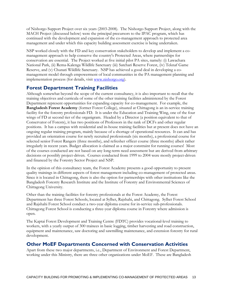of Nishorgo Support Project over six years (2003-2008). The Nishorgo Support Project, along with the MACH Project (discussed below) were the principal precursors to the IPAC program, which has continued with the development and expansion of the co-management approach to protected area management and under which this capacity building assessment exercise is being undertaken.

NSP worked closely with the FD and key conservation stakeholders to develop and implement a comanagement approach to help conserve the country's Protected Areas, where partnerships for conservation are essential. The Project worked at five initial pilot PA sites, namely: (i) Lawachara National Park, (ii) Rema-Kalenga Wildlife Sanctuary (iii) Satchari Reserve Forest, (iv) Teknaf Game Reserve, and (v) Chunati Wildlife Sanctuary. NSP has achieved a good deal in developing a comanagement model through empowerment of local communities in the PA management planning and implementation process (for details, visit www.nishorgo.org).

# **Forest Department Training Facilities**

Although somewhat beyond the scope of the current consultancy, it is also important to recall that the training objectives and curricula of some of the other training facilities administered by the Forest Department represent opportunities for expanding capacity for co-management. For example, the **Bangladesh Forest Academy** (former Forest College), situated at Chittagong is an in-service training facility for the forestry professionals FD. It is under the Education and Training Wing, one of the four wings of FD at second tier of the organigram. Headed by a Director (a position equivalent to that of Conservator of Forests), it has two positions of Professors in the rank of DCFs and other regular positions. It has a campus with residential and in-house training facilities but at present does not have an ongoing regular training program, mainly because of a shortage of operational resources. It can and has provided an orientation course for newly recruited professionals (six months), a professional course for selected senior Forest Rangers (three months), and refresher officer course (three months) albeit rather irregularly in recent years. Budget allocation is claimed as a major constraint for running courses! Most of the courses conducted are not based on any long-term need assessment but are derived from arbitrary decisions or possibly project-driven. Courses conducted from 1999 to 2004 were mostly project-driven and financed by the Forestry Sector Project and NSP.

In the opinion of this consultancy team, the Forest Academy presents a good opportunity to present quality trainings in different aspects of forest management including co-management of protected areas. Since it is located in Chittagong, there is also the option for partnerships with other institutions like the Bangladesh Forestry Research Institute and the Institute of Forestry and Environmental Sciences of Chittagong University.

Other than the training facilities for forestry professionals at the Forest Academy, the Forest Department has three Forest Schools, located at Sylhet, Rajshahi, and Chittagong. Sylhet Forest School and Rajshahi Forest School conduct a two-year diploma course for in-service sub-professionals. Chittagong Forest School is conducting a three-year diploma course in Forestry where admission is open.

The Kaptai Forest Development and Training Centre (FDTC) provides vocational-level training to workers, with a yearly output of 300 trainees in basic logging, timber harvesting and road construction, equipment and maintenance, saw doctoring and sawmilling maintenance, and extension forestry for rural development.

# **Other MoEF Departments Concerned with Conservation Activities**

Apart from these two major departments, i.e., Department of Environment and Forest Department, working under this Ministry, there are three other organizations under MoEF. These are Bangladesh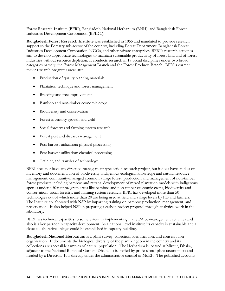Forest Research Institute (BFRI), Bangladesh National Herbarium (BNH), and Bangladesh Forest Industries Development Corporation (BFIDC).

**Bangladesh Forest Research Institute** was established in 1955 and mandated to provide research support to the Forestry sub-sector of the country, including Forest Department, Bangladesh Forest Industries Development Corporation, NGOs, and other private enterprises. BFRI's research activities aim to develop appropriate technologies to maintain sustainable productivity of forest land and of forest industries without resource depletion. It conducts research in 17 broad disciplines under two broad categories namely, the Forest Management Branch and the Forest Products Branch. BFRI's current major research programs areas are:

- Production of quality planting materials
- Plantation technique and forest management
- Breeding and tree improvement
- Bamboo and non-timber economic crops
- Biodiversity and conservation
- Forest inventory growth and yield
- Social forestry and farming system research
- Forest pest and diseases management
- Post harvest utilization: physical processing
- Post harvest utilization: chemical processing
- Training and transfer of technology

BFRI does not have any direct co-management type action research project, but it does have studies on inventory and documentation of biodiversity, indigenous ecological knowledge and natural resource management, community-managed common village forest, production and management of non-timber forest products including bamboo and rattans, development of mixed plantation models with indigenous species under different program areas like bamboo and non-timber economic crops, biodiversity and conservation, social forestry, and farming system research. BFRI has developed more than 50 technologies out of which more than 20 are being used at field and village levels by FD and farmers. The Institute collaborated with NSP by imparting training on bamboo production, management, and preservation. It also helped NSP in preparing a carbon project proposal through analytical work in the laboratory.

BFRI has technical capacities to some extent in implementing many PA co-management activities and also is a key partner in capacity development. As a national level institute its capacity is sustainable and a close collaborative linkage could be established in capacity building.

**Bangladesh National Herbarium** is a plant survey, collection, identification, and conservation organization. It documents the biological diversity of the plant kingdom in the country and its collections are accessible samples of natural population. The Herbarium is located at Mirpur, Dhaka, adjacent to the National Botanical Garden, Dhaka. It is staffed by professional plant taxonomists and headed by a Director. It is directly under the administrative control of MoEF. The published accounts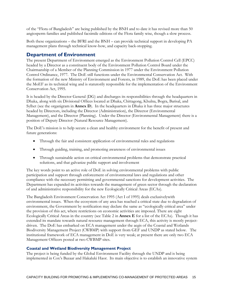of the "Flora of Bangladesh" are being published by the BNH and to date it has revised more than 50 angiosperm families and published facsimile editions of the Flora family wise, though a slow process.

Both these organizations – the BFRI and the BNH – can provide technical support in developing PA management plans through technical know-how, and capacity back-stopping.

# **Department of Environment**

The present Department of Environment emerged as the Environment Pollution Control Cell (EPCC) headed by a Director as a constituent body of the Environment Pollution Control Board under the Chairmanship of a Member of the Planning Commission in 1977 under the Environment Pollution Control Ordinance, 1977. The DoE still functions under the Environmental Conservation Act. With the formation of the new Ministry of Environment and Forests, in 1989, the DoE has been placed under the MoEF as its technical wing and is statutorily responsible for the implementation of the Environment Conservation Act, 1995.

It is headed by the Director General (DG) and discharges its responsibilities through the headquarters in Dhaka, along with six Divisional Offices located at Dhaka, Chittagong, Khulna, Bogra, Barisal, and Sylhet (see the organigram in **Annex D**). In the headquarters in Dhaka it has three major structures headed by Directors, including the Director (Administration), the Director (Environmental Management), and the Director (Planning). Under the Director (Environmental Management) there is a position of Deputy Director (Natural Resource Management).

The DoE's mission is to help secure a clean and healthy environment for the benefit of present and future generations:

- Through the fair and consistent application of environmental rules and regulations
- Through guiding, training, and promoting awareness of environmental issues
- Through sustainable action on critical environmental problems that demonstrate practical solutions, and that galvanize public support and involvement

The key words point to an active role of DoE in solving environmental problems with public participation and support through enforcement of environmental laws and regulations and other compliance with the necessary permitting and governmental sanctions for development activities. The Department has expanded its activities towards the management of green sector through the declaration of and administrative responsibility for the new Ecologically Critical Areas (ECAs).

The Bangladesh Environment Conservation Act 1995 (Act I of 1995) deals exclusivelywith environmental issues. When the ecosystem of any area has reached a critical state due to degradation of environment, the Government by notification may declare the same as "ecologically critical area" under the provision of this act, where restrictions on economic activities are imposed. There are eight Ecologically Critical Areas in the country (see Table 2 in **Annex E** for a list of the ECAs). Though it has extended its mandate towards natural resource management through ECA, this activity is mostly projectdriven. The DoE has embarked on ECA management under the aegis of the Coastal and Wetlands Biodiversity Management Project (CWBMP) with support from GEF and UNDP as stated below. The institutional framework of ECA management in DoE is very weak; at present there are only two ECA Management Officers posted at two CWBMP sites.

### **Coastal and Wetland Biodiversity Management Project**

The project is being funded by the Global Environment Facility through the UNDP and is being implemented in Cox's Bazaar and Hakaluki Haor. Its main objective is to establish an innovative system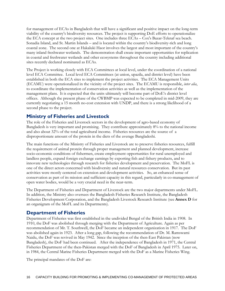for management of ECAs in Bangladesh that will have a significant and positive impact on the long-term viability of the country's biodiversity resources. The project is supporting DoE efforts to operationalize the ECA concept at the two project sites. One includes three ECAs – Cox's Bazar-Teknaf sea beach. Sonadia Island, and St. Martin Islands – and is located within the country's biodiversity-rich and long coastal zone. The second one at Hakaluki Haor involves the largest and most important of the country's many inland freshwater wetlands. The demonstration shall create important opportunities for replication in coastal and freshwater wetlands and other ecosystems throughout the country including additional sites recently declared nominated as ECAs.

The Project is working closely with ECA Committees at local level, under the coordination of a national level ECA Committee. Local level ECA Committees (at union, upazila, and district level) have been established in both the ECA sites to implement the project activities. The ECA Management Units (ECAMU) were operationalized in the vicinity of the project sites. The ECAMU is responsible, *inter alia*, to coordinate the implementation of conservation activities as well as the implementation of the management plans. It is expected that the units ultimately will become part of DoE's district level offices. Although the present phase of the CWBMP was expected to be completed in mid-2009, they are currently negotiating a 15 month no-cost extension with UNDP, and there is a strong likelihood of a second phase to the project.

# **Ministry of Fisheries and Livestock**

The role of the Fisheries and Livestock sectors in the development of agro-based economy of Bangladesh is very important and promising. They contribute approximately 8% to the national income and also about 32% of the total agricultural income. Fisheries resources are the source of a disproportionate amount of the protein in the diets of the average Bangladeshi.

The main functions of the Ministry of Fisheries and Livestock are to preserve fisheries resources, fulfill the requirement of animal protein through proper management and planned development, increase socio-economic conditions of fishermen, create employment opportunities for rural unemployed and landless people, expand foreign exchange earnings by exporting fish and fishery products, and to innovate new technologies through research for fisheries development and preservation. The MoFL is one of the direct actors concerned with biodiversity and natural resources conservation. But its past activities were mostly centered on extension and development activities. So, an enhanced sense of conservation as part of its mission and sufficient capacity in this regard, particularly in co-management of open water bodies, would be a very crucial need in the near-term.

The Department of Fisheries and Department of Livestock are the two major departments under MoFL. In addition, the Ministry also oversees the Bangladesh Fisheries Research Institute, the Bangladesh Fisheries Development Corporation, and the Bangladesh Livestock Research Institute (see **Annex D** for an organigram of the MoFL and its Departments).

# **Department of Fisheries**

Department of Fisheries was first established in the undivided Bengal of the British India in 1908. In 1910, the DoF was abolished through merging with the Department of Agriculture. Again as per recommendation of Mr. T. Southwell, the DoF became an independent organization in 1917. The DoF was abolished again in 1923. After a long gap, following the recommendation of Dr. M. Ramswami Naidu, the DoF was revived in May 1942. Since the inception of the then-East Pakistan (now Bangladesh), the DoF had been continued. After the independence of Bangladesh in 1971, the Central Fisheries Department of the then-Pakistan merged with the DoF of Bangladesh in April 1975. Later on, in 1984, the Central Marine Fisheries Department merged with the DoF as a Marine Fisheries Wing.

The principal mandates of the DoF are: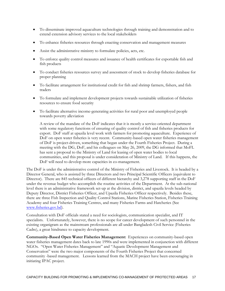- To disseminate improved aquaculture technologies through training and demonstration and to extend extension advisory services to the local stakeholders
- To enhance fisheries resources through enacting conservation and management measures
- Assist the administrative ministry to formulate policies, acts, etc.
- To enforce quality control measures and issuance of health certificates for exportable fish and fish products
- To conduct fisheries resources survey and assessment of stock to develop fisheries database for proper planning
- To facilitate arrangement for institutional credit for fish and shrimp farmers, fishers, and fish traders
- To formulate and implement development projects towards sustainable utilization of fisheries resources to ensure food security
- To facilitate alternative income-generating activities for rural poor and unemployed people towards poverty alleviation

A review of the mandate of the DoF indicates that it is mostly a service-oriented department with some regulatory functions of ensuring of quality control of fish and fisheries products for export. DoF staff at upazila level work with farmers for promoting aquaculture. Experience of DoF on open water fisheries is very recent. Community-based open water fisheries management of DoF is project-driven, something that began under the Fourth Fisheries Project. During a meeting with the DG, DoF, and his colleagues on May 26, 2009, the DG informed that MoFL has sent a proposal to the Ministry of Land for leasing of open water bodies to local communities, and this proposal is under consideration of Ministry of Land. If this happens, the DoF will need to develop more capacities in co-management.

The DoF is under the administrative control of the Ministry of Fisheries and Livestock. It is headed by a Director General, who is assisted by three Directors and two Principal Scientific Officers (equivalent to Director). There are 845 technical officers of different hierarchy and 3,278 supporting staff in the DoF under the revenue budget who accomplish the routine activities of the Department. At the sub-national level there is an administrative framework set-up at the division, district, and upazila levels headed by Deputy Director, District Fisheries Officer, and Upazila Fisheries Officer respectively. Besides these, there are three Fish Inspection and Quality Control Stations, Marine Fisheries Station, Fisheries Training Academy and four Fisheries Training Centres, and many Fisheries Farms and Hatcheries (See www.fisheries.gov.bd).

Consultation with DoF officials stated a need for sociologists, communication specialist, and IT specialists. Unfortunately, however, there is no scope for career development of such personnel in the existing organigram as the mainstream professionals are all under Bangladesh Civil Service (Fisheries Cadre), a great hindrance to capacity development.

**Community-Based Open Water Fisheries Management:** Experiences on community-based open water fisheries management dates back to late 1990s and were implemented in conjunction with different NGOs. "Open Water Fisheries Management" and "Aquatic Development Management and Conservation" were the two major components of the Fourth Fisheries Project that concerned community -based management. Lessons learned from the MACH project have been encouraging in initiating IPAC project.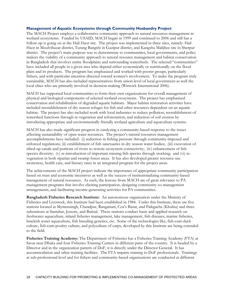### **Management of Aquatic Ecosystems through Community Husbandry Project**

The MACH Project employs a collaborative community approach to natural resources management in wetland ecosystems. Funded by USAID, MACH began in 1999 and continued to 2006 and still has a follow-up is going on at the Hail Haor site. The project was implemented in three sites, namely: Hail Haor in Moulvibazar district, Turang Bangshi in Gazipur district, and Kangsha Malijhee site in Sherpur district. The project's main purpose was to demonstrate to communities, local governments, and policy makers the viability of a community approach to natural resource management and habitat conservation in Bangladesh that involves entire floodplains and surrounding watersheds. The selected "communities" have included all people in a given area who depend either economically or nutritionally on the flood plain and its products. The program has emphasized and worked with poorer groups, particularly fishers, and with particular attention directed toward women's involvement. To make the program truly sustainable, MACH has also included representatives from union-level of local government as well the local elites who are primarily involved in decision-making (Winrock International 2006).

MACH has supported local communities to form their own organizations for overall management of physical and biological components of selected wetland ecosystems. The project has emphasized conservation and rehabilitation of degraded aquatic habitats. Major habitat restoration activities have included reestablishment of dry season refuges for fish and other resources dependent on an aquatic habitat. The project has also included work with local industries to reduce pollution, reestablishment of watershed functions through re-vegetation and reforestation, and reduction of soil erosion by introducing appropriate and environmentally friendly wetland agriculture and aquaculture systems.

MACH has also made significant progress in catalyzing a community-based response to the issues affecting sustainability of open water resources. The project's natural resources management accomplishments have included: (i) reduction in fishing pressure through community-imposed and enforced regulations; (ii) establishment of fish sanctuaries in dry season water bodies; (iii) excavation of silted-up canals and portions of rivers to restore ecosystem connectivity; (iv) enhancement of fish species diversity; (v) re-introduction of important missing fish species through stocking; and (vi) revegetation in both riparian and swamp forest areas. It has also developed greater resource-use awareness, health care, and literacy rates in an integrated program for the project areas.

The achievements of the MACH project indicate the importance of appropriate community participation based on trust and economic incentives as well as the success of institutionalizing community-based management of natural resources. As such, the lessons from MACH are of great relevance to PA management programs that involve eliciting participation, designing community co-management arrangements, and facilitating income-generating activities for PA communities.

**Bangladesh Fisheries Research Institute:** An autonomous organization under the Ministry of Fisheries and Livestock, this Institute had been established in 1984. Under this Institute, there are five stations located at Mymensingh, Chandpur, Rangamati, Cox's Bazar, and Paikgacha (Khulna) and three substations at Santahar, Jessore, and Barisal. These stations conduct basic and applied research on freshwater aquaculture, inland fisheries management, lake management, fish diseases, marine fisheries, brackish water aquaculture, fish breeding genetics, etc. Some of the technologies like, fish-cum-duck culture, fish-cum-poultry culture, and polyculture of carps, developed by this Institute are being extended to the field.

**Fisheries Training Academy:** The Department of Fisheries has a Fisheries Training Academy (FTA) at Savar near Dhaka and four Fisheries Training Centers in different parts of the country. It is headed by a Director and in the organization pattern of DoF, it is directly under the Director General. It has accommodation and other training facilities. The FTA imparts training to DoF professionals. Trainings at sub-professional level and for fishers and community-based organizations are conducted at different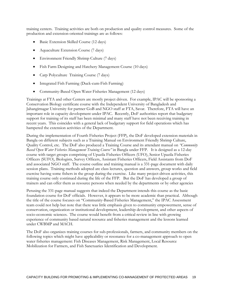training centers. Training activities are both on production and quality control measures. Some of the production and extension-oriented trainings are as follows:

- Basic Extension Skilled Course (12 days)
- Aquaculture Extension Course (7 days)
- Environment Friendly Shrimp Culture (7 days)
- Fish Farm Designing and Hatchery Management Course (10 days)
- Carp Polyculture Training Course (7 days)
- Integrated Fish Farming (Duck-cum-Fish Farming)
- Community-Based Open Water Fisheries Management (12 days)

Trainings at FTA and other Centers are mostly project driven. For example, IPAC will be sponsoring a Conservation Biology certificate course with the Independent University of Bangladesh and Jahangirnagar University for partner GoB and NGO staff at FTA, Savar. Therefore, FTA will have an important role in capacity development under IPAC. Recently, DoF authorities report that budgetary support for training of its staff has been minimal and many staff have not been receiving training in recent years. This coincides with a general lack of budgetary support for field operations which has hampered the extension activities of the Department.

During the implementation of Fourth Fisheries Project (FFP), the DoF developed extension materials in Bangla on different subjects such as a Training Manual on Environment Friendly Shrimp Culture, Quality Control, etc. The DoF also produced a Training Course and its attendant manual on *"Community Based Open Water Fisheries Management Training Course"* in Bangla under FFP. It is designed as a 12-day course with target groups comprising of Upazila Fisheries Officers (UFO), Senior Upazila Fisheries Officers (SUFO), Biologists, Survey Officers, Assistant Fisheries Officers, Field Assistants from DoF and associated NGO staff. The course outline and training manual is a 331-page document with daily session plans. Training methods adopted are class lectures, question and answers, group works and field exercise having some fishers in the group during the exercise. Like many project-driven activities, this training course only continued during the life of the FFP. But the DoF has developed a group of trainers and can offer them as resource persons when needed by the departments or by other agencies

Perusing the 331-page manual suggests that indeed the Department intends this course as the basic foundation course for DoF officials. However, it appears to be more academic than practical. Although the title of the course focuses on "Community-Based Fisheries Management," the IPAC Assessment team could not help but note that there was little emphasis given to community empowerment, sense of conservation, organization or institutional development, leadership development, and other aspects of socio-economic sciences. The course would benefit from a critical review in line with growing experience of community based natural resource and fisheries management and the lessons learned under CWBMP and MACH.

The DoF also organizes training courses for sub-professionals, farmers, and community members on the following topics which might have applicability or resonance for a co-management approach to open water fisheries management: Fish Diseases Management, Risk Management, Local Resource Mobilization for Farmers, and Fish Sanctuaries Identification and Development.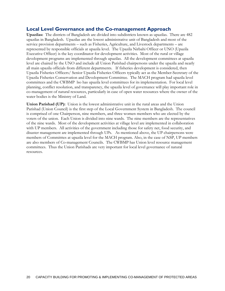# **Local Level Governance and the Co-management Approach**

**Upazilas:** The districts of Bangladesh are divided into subdistricts known as upazilas. There are 482 upazilas in Bangladesh. Upazilas are the lowest administrative unit of Bangladesh and most of the service provision departments – such as Fisheries, Agriculture, and Livestock departments – are represented by responsible officials at upazila level. The Upazila Nirbahi Officer or UNO (Upazila Executive Officer) is the key coordinator for development activities. Most of the rural or village development programs are implemented through upazilas. All the development committees at upazila level are chaired by the UNO and include all Union Parishad chairpersons under the upazila and nearly all main upazila officials from different departments. If fisheries development is considered, then Upazila Fisheries Officers/ Senior Upazila Fisheries Officers typically act as the Member-Secretary of the Upazila Fisheries Conservation and Development Committee. The MACH program had upazila level committees and the CWBMP lso has upazila level committees for its implementation. For local level planning, conflict resolution, and transparency, the upazila level of governance will play important role in co-management of natural resources, particularly in case of open water resources where the owner of the water bodies is the Ministry of Land.

**Union Parishad (UP):** Union is the lowest administrative unit in the rural areas and the Union Parishad (Union Council) is the first step of the Local Government System in Bangladesh. The council is comprised of one Chairperson, nine members, and three women members who are elected by the voters of the union. Each Union is divided into nine wards. The nine members are the representatives of the nine wards. Most of the development activities at village level are implemented in collaboration with UP members. All activities of the government including those for safety net, food security, and disaster management are implemented through UPs. As mentioned above, the UP chairpersons were members of Committtes at upazila level for the MACH program. Also, in the case of NSP, UP members are also members of Co-management Councils. The CWBMP has Union level resource management committees. Thus the Union Parishads are very important for local level governance of natural resources.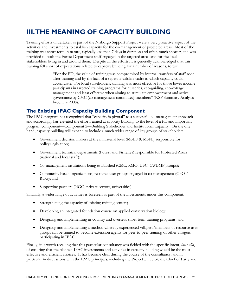# **III. THE MEANING OF CAPACITY BUILDING**

Training efforts undertaken as part of the Nishorgo Support Project were a very proactive aspect of the activities and investments to establish capacity for the co-management of protected areas. Most of the training was short-term in nature, typically less than 7 days in duration and often much shorter, and was provided to both the Forest Department staff engaged in the targeted areas and for the local stakeholders living in and around them. Despite all the efforts, it is generally acknowledged that this training fell short of expectations related to capacity building for a number of reasons, to wit.

> "For the FD, the value of training was compromised by internal transfers of staff soon after training and by the lack of a separate wildlife cadre in which capacity could accumulate. For local stakeholders, training was most effective for those lower income participants in targeted training programs for nurseries, eco-guiding, eco-cottage management and least effective when aiming to stimulate empowerment and active governance by CMC (co-management committee) members" (NSP Summary Analysis brochure 2008).

# **The Existing IPAC Capacity Building Component**

The IPAC program has recognized that "capacity is pivotal" to a successful co-management approach and accordingly has elevated the efforts aimed at capacity building to the level of a full and important program component—Component 2—Building Stakeholder and Institutional Capacity. On the one hand, capacity building will expand to include a much wider range of key groups of stakeholders:

- Government decision makers at the ministerial level (MoEF & MoFL) responsible for policy/legislation;
- Government technical departments (Forest and Fisheries) responsible for Protected Areas (national and local staff);
- Co-management institutions being established (CMC, RMO, UFC, CWBMP groups);
- Community based organizations, resource user groups engaged in co-management (CBO / RUG); and
- Supporting partners (NGO, private sectors, universities)

Similarly, a wider range of activities is foreseen as part of the investments under this component:

- Strengthening the capacity of existing training centers;
- Developing an integrated foundation course on applied conservation biology;
- Designing and implementing in-country and overseas short-term training programs; and
- Designing and implementing a method whereby experienced villagers/members of resource user groups can be trained to become extension agents for peer-to-peer training of other villagers participating in IPAC.

Finally, it is worth recalling that this particular consultancy was fielded with the specific intent, *inter alia*, of ensuring that the planned IPAC investments and activities in capacity building would be the most effective and efficient choices. It has become clear during the course of the consultancy, and in particular in discussions with the IPAC principals, including the Project Director, the Chief of Party and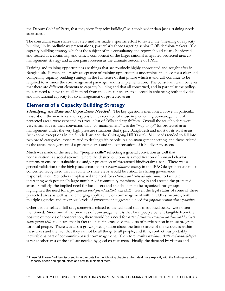the Deputy Chief of Party, that they view "capacity building" as a topic wider than just a training needs assessment.

The consultant team shares that view and has made a specific effort to review the "meaning of capacity building" in its preliminary presentations, particularly those targeting senior GOB decision-makers. The capacity building strategy which is the subject of this consultancy and report should clearly be viewed and treated as a continuing and critical component of the larger national integrated protected area comanagement strategy and action plan foreseen as the ultimate outcome of IPAC.

Training and training opportunities are things that are routinely highly appreciated and sought after in Bangladesh. Perhaps this ready acceptance of training opportunities undermines the need for a clear and compelling capacity building strategy in the full sense of that phrase which is and will continue to be required to advance the co-management paradigm and its implementation. The consultant team believes that there are different elements to capacity building and that all concerned, and in particular the policymakers need to have them all in mind from the outset if we are to succeed in enhancing both individual and institutional capacity for co-management of protected areas.

# **Elements of a Capacity Building Strategy**

-

**Identifying the Skills and Capabilities Needed***<sup>1</sup>* : The key questions mentioned above, in particular those about the new roles and responsibilities required of those implementing co-management of protected areas, were expected to reveal a list of skills and capabilities. Overall the stakeholders were very affirmative in their conviction that "co-management" was the "way to go" for protected area management under the very high pressure situations that typify Bangladesh and most of its rural areas (with some exceptions in the Sundarbans and the Chittagong Hill Tracts). Skill needs tended to fall into two broad categories, those related to dealing with people in a co-management setting, and those related to the actual management of a protected area and the conservation of it biodiversity assets.

Much was made of the need for **"people skills"** reflecting a general conviction as well that "conservation is a social science" where the desired outcome is a modification of human behavior patterns to ensure sustainable use and/or protection of threatened biodiversity assets. There was a general validation of the high place accorded to *a communications strategy* in the IPAC design because most concerned recognized that an ability to share views would be critical to sharing governance responsibilities. Yet others emphasized the need for *extension and outreach capabilities* to facilitate interacting with potentially large numbers of community members living in and around the protected areas. Similarly, the implied need for local users and stakeholders to be organized into groups highlighted the need for *organizational development methods and skills*. Given the legal status of some of these protected areas as well as the emerging applicability of co-management within GOB structures, both multiple agencies and at various levels of government suggested a need for *program coordination capabilities*.

Other people-related skill sets, somewhat related to the technical skills mentioned below, were often mentioned. Since one of the premises of co-management is that local people benefit tangibly from the positive outcomes of conservation, there would be a need for *natural resources economic analysis and business management skills* to ensure that in fact the benefits exceeded the costs of participation in these programs for local people. There was also a growing recognition about the finite nature of the resources within these areas and the fact that they cannot be all things to all people, and thus, conflict was probably inevitable as part of community-based co-management. Therefore, *conflict resolution skills and methodologies* is yet another area of the skill set needed by good co-managers. Finally, the demand by visitors and

<sup>&</sup>lt;sup>1</sup> These "skill areas" will be discussed in further detail in the following chapters which deal more explicitly with the findings related to capacity needs and opportunities and how to implement them.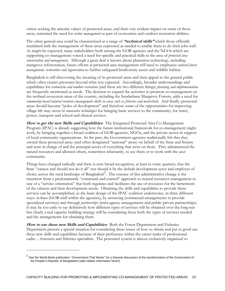others seeking the amenity values of protected areas, and their very evident impact on some of these areas, reiterated the need for *visitor management* as part of ecotourism and outdoor recreation abilities.

The other general area could be characterized as a range of **"technical skills"** which those officially mandated with the management of these areas expressed as needed to enable them to do their jobs well. As might be expected, many stakeholders both among the GOB agencies and the NGOs which are supporting co-management voiced a need for specific and practical skills in the area of *protected area conservation and management*. Although a great deal is known about plantation technology, including mangrove reforestation, future efforts at protected area management will need to emphasize *natural forest management, restoration and regeneration* to further safeguard biodiversity assets and wildlife habitat.

Bangladesh is still discovering the meaning of its protected areas and their appeal to the general public which often creates pressures beyond what was expected. Accordingly, broader understandings and capabilities for *ecotourism and outdoor recreation* (and these are two different things) *planning and implementation* are frequently mentioned as needs. The decision to expand the activities to promote co-management on the wetland ecosystem areas of the country, including the Sundarbans Mangrove Forests, adds a need for *community-based natural resources management skills in areas such as fisheries and watersheds*. And finally, protected areas should become "poles of development" and therefore some of the opportunities for improving village life may occur in *innovative technologies* for bringing basic services to the community, for water, power, transport and school and clinical services.

**How to get the new Skills and Capabilities**: The Integrated Protected Area Co-Management Program (IPAC) is already suggesting how the future institutional framework for co-management might work, by bringing together a broad coalition of GOB agencies, NGOs, and the private sector in support of local community organizations. In the past, the Government agencies traditionally felt that they owned these protected areas (and other designated "national" areas) on behalf of the State and Society and were in charge of and the principal actors of everything that went on there. They administered the natural resources and allowed others, sometimes reluctantly, to use them or to work with the user community.

Things have changed radically and there is now broad recognition, at least in some quarters, that the State "cannot and should not do it all" nor should it be the default development actor and employer of choice across the rural landscape of Bangladesh<sup>2</sup>. The essence of this administrative change is the transition from a predominantly "command and control" approach to natural resources management to one of a "service orientation" that both regulates and facilitates the use of resources for the betterment of the citizens and their development needs. Obtaining the skills and capabilities to provide these services can be accomplished, as the basic design of the IPAC coalition underscores, in three different ways: *in-house* (GOB staff within the agencies), by *outsourcing* (contractual arrangements to provide specialized services) and through *partnerships* (intra-agency arrangements and public-private partnerships). It may be too early to say definitively how different types of services will be obtained over the long-run but clearly a real capacity building strategy will be considering these both the types of services needed and the arrangements for obtaining them.

**How to use these new Skills and Capabilities**: Both the Forest Department and Fisheries Department present a special situation for considering these issues of how to obtain and put to good use these new skills and capabilities because of their preference within the career ranks of professional cadre….foresters and fisheries specialists. The personnel system is almost exclusively organized to

-

 $^2$  See the World Bank publication: "Government That Works" for a fulsome discussion of the transformation of the Government of the People's Republic of Bangladesh (add citation information here!!)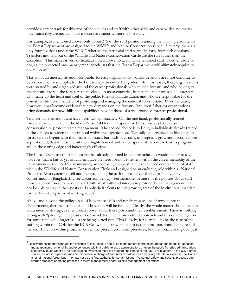provide a career track for this type of individuals and staff with other skills and capabilities, no matter how much they are needed, have a secondary status within the hierarchy.

For example, as mentioned above, only about 375 of the staff positions among the 8500+ personnel of the Forest Department are assigned to the Wildlife and Nature Conservation Circle. Similarly, there are only four divisions under the WNCC whereas the territorial staff serves in forty-four such divisions. Transfers into and out of the Wildlife and Nature Conservation Circle are the rule rather than the exception. This makes it very difficult, as noted above, to accumulate seasoned staff, whether cadre or not, as the protected area management specialists that the Forest Department will ultimately require to do its job well.

This is not an unusual situation for public forestry organizations worldwide and it need not continue to be a dilemma, for example, for the Forest Department of Bangladesh. In most cases, these organizations were started by and organized around the career professionals who studied forestry and who belong to the national cadre—the foresters themselves. In most countries, in fact, it is the professional foresters who make up the heart and soul of the public forestry administration and who are responsible for the primary institutional mandate of protecting and managing the national forest estate. Over the years, however, it has become evident that new demands on the forestry (and even fisheries) organizations bring demands for new skills and capabilities beyond those of a well rounded forestry professional.

To meet this demand, there have been two approaches. On the one hand, professionally trained foresters can be trained at the Master's or PhD level in a specialized field, such as biodiversity conservation or protected area management. The second choice is to bring in individuals already trained in these fields to widen the talent pool within the organization. Typically, an organization like a national forest service begins with the former approach but finds over time, as programs grow and become more sophisticated, that it must recruit more highly trained and skilled specialists to ensure that its programs are on the cutting edge and increasingly effective.

The Forest Department of Bangladesh has already adopted both approaches. It would be fair to say, however, that it has as yet to fully embrace the need for non-foresters within the career hierarchy of the Department or the need for maintaining an increasingly capable and experienced complement of staff within the Wildlife and Nature Conservation Circle and assigned to an enduring role within a "National" Protected Area system" (itself another goal along the path to greater capability for biodiversity conservation in Bangladesh…see discussion below). Furthermore, because of the policies about staff transfers, even foresters or other staff with an affinity and interest in protected area management, may not be able to stay in their posts and apply their talents to this growing area of the institutional mandate for the Forest Department in Bangladesh<sup>3</sup>.

Above and beyond the policy issue of how these skills and capabilities will be absorbed into the Departments, there is also the issue of how they will be funded. Clearly, the whole matter should be part of an internal strategy, as mentioned above, about these posts and their establishment. There is nothing wrong with "piloting" new positions or mandates under a projectized approach and this can even go on for some time while larger issues are being sorted out. This is likely, for example, to be the case of the staffing within the DOE for the ECA Cell which is now limited to two internal positions; all the rest of the staff function within projects. Given the present economic pressures, both nationally and globally, it

-

<sup>33</sup> It is worth noting that although the essence of this report is about "co-management of protected areas", the needs for adoption and adaptation of other skills and experiences within a public forestry administration, or even the public fisheries administration, is generally much wider as the organization evolves to meet the modern challenges of the day. For example, in the U.S. Forest Service, a Forest Supervisor may be the person in charge of hundreds of staff across a very large territorial expanse….millions of acres of national forest land…he may not be the final authority for certain issues. Personnel safety and security practices often override standard operating practices in forest management and/or wildlife management operations.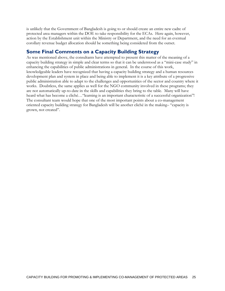is unlikely that the Government of Bangladesh is going to or should create an entire new cadre of protected area managers within the DOE to take responsibility for the ECAs. Here again, however, action by the Establishment unit within the Ministry or Department, and the need for an eventual corollary revenue budget allocation should be something being considered from the outset.

# **Some Final Comments on a Capacity Building Strategy**

As was mentioned above, the consultants have attempted to present this matter of the meaning of a capacity building strategy in simple and clear terms so that it can be understood as a "mini-case study" in enhancing the capabilities of public administrations in general. In the course of this work, knowledgeable leaders have recognized that having a capacity building strategy and a human resources development plan and system in place and being able to implement it is a key attribute of a progressive public administration able to adapt to the challenges and opportunities of the sector and country where it works. Doubtless, the same applies as well for the NGO community involved in these programs; they are not automatically up-to-date in the skills and capabilities they bring to the table. Many will have heard what has become a cliché…"learning is an important characteristic of a successful organization"! The consultant team would hope that one of the most important points about a co-management oriented capacity building strategy for Bangladesh will be another cliché in the making– "capacity is grown, not created".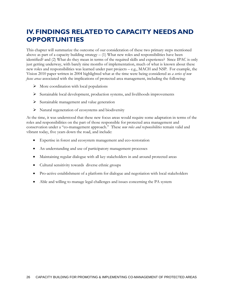# **IV. FINDINGS RELATED TO CAPACITY NEEDS AND OPPORTUNITIES**

This chapter will summarize the outcome of our consideration of these two primary steps mentioned above as part of a capacity building strategy  $- (1)$  What new roles and responsibilities have been identified? and (2) What do they mean in terms of the required skills and experience? Since IPAC is only just getting underway, with barely nine months of implementation, much of what is known about these new roles and responsibilities was learned under past projects – e.g., MACH and NSP. For example, the Vision 2010 paper written in 2004 highlighted what at the time were being considered as *a series of new focus areas* associated with the implications of protected area management, including the following:

- $\triangleright$  More coordination with local populations
- $\triangleright$  Sustainable local development, production systems, and livelihoods improvements
- $\triangleright$  Sustainable management and value generation
- $\triangleright$  Natural regeneration of ecosystems and biodiversity

At the time, it was understood that these new focus areas would require some adaptation in terms of the roles and responsibilities on the part of those responsible for protected area management and conservation under a "co-management approach." These *new roles and responsibilities* remain valid and vibrant today, five years down the road, and include:

- Expertise in forest and ecosystem management and eco-restoration
- An understanding and use of participatory management processes
- Maintaining regular dialogue with all key stakeholders in and around protected areas
- Cultural sensitivity towards diverse ethnic groups
- Pro-active establishment of a platform for dialogue and negotiation with local stakeholders
- Able and willing to manage legal challenges and issues concerning the PA system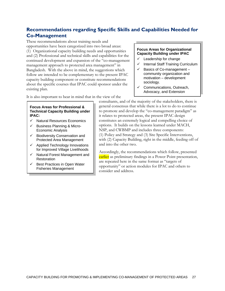# **Recommendations regarding Specific Skills and Capabilities Needed for Co-Management**

These recommendations about training needs and opportunities have been categorized into two broad areas: (1) Organizational capacity building needs and opportunities and (2) Professional and technical skills and capabilities for the continued development and expansion of the "co-management management approach to protected area management" in Bangladesh. With the above in mind, the suggestions which follow are intended to be complementary to the present IPAC capacity building component or constitute recommendations about the specific courses that IPAC could sponsor under the existing plan.

It is also important to bear in mind that in the view of the

### **Focus Areas for Organizational Capacity Building under IPAC**

- Leadership for change
- Internal Staff Training Curriculum
- $\checkmark$  Basics of Co-management community organization and motivation – development sociology.
- $\checkmark$  Communications, Outreach, Advocacy, and Extension

**Focus Areas for Professional & Technical Capacity Building under IPAC:** 

- $\checkmark$  Natural Resources Economics
- Business Planning & Micro-Economic Analysis
- Biodiversity Conservation and Protected Area Management
- $\checkmark$  Applied Technology Innovations for Improved Village Livelihoods
- Natural Forest Management and Restoration
- $\checkmark$  Best Practices in Open Water Fisheries Management

consultants, and of the majority of the stakeholders, there is general consensus that while there is a lot to do to continue to promote and develop the "co-management paradigm" as it relates to protected areas, the present IPAC design constitutes an extremely logical and compelling choice of options. It builds on the lessons learned under MACH, NSP, and CWBMP and includes three components: (1) Policy and Strategy and (3) Site Specific Interventions, with (2) Capacity Building, right in the middle, feeding off of and into the other two.

Accordingly, the recommendations which follow, presented earlier as preliminary findings in a Power Point presentation, are repeated here in the same format as "targets of opportunity" or action modules for IPAC and others to consider and address.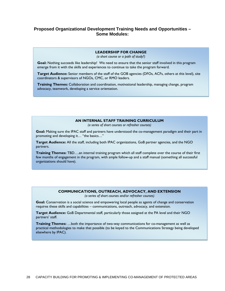# **Proposed Organizational Development Training Needs and Opportunities – Some Modules:**

#### **LEADERSHIP FOR CHANGE**

*(a short course or a path of study?)* 

**Goal:** Nothing succeeds like leadership! We need to ensure that the senior staff involved in this program emerge from it with the skills and experiences to continue to take the program forward.

**Target Audience:** Senior members of the staff of the GOB agencies (DFOs, ACFs, others at this level), site coordinators & supervisors of NGOs, CMC, or RMO leaders.

**Training Themes:** Collaboration and coordination, motivational leadership, managing change, program advocacy, teamwork, developing a service orientation.

#### **AN INTERNAL STAFF TRAINING CURRICULUM**

*(a series of short courses or refresher courses)* 

**Goal:** Making sure the IPAC staff and partners have understood the co-management paradigm and their part in promoting and developing it… "the basics…"

**Target Audience:** All the staff, including both IPAC organizations, GoB partner agencies, and the NGO partners.

**Training Themes:** TBD….an internal training program which all staff complete over the course of their first few months of engagement in the program, with ample follow-up and a staff manual (something all successful organizations should have).

#### **COMMUNICATIONS, OUTREACH, ADVOCACY, AND EXTENSION**

*(a series of short courses and/or refresher courses)* 

**Goal:** Conservation is a social science and empowering local people as agents of change and conservation requires these skills and capabilities – communications, outreach, advocacy, and extension.

**Target Audience:** GoB Departmental staff, particularly those assigned at the PA level and their NGO partners' staff.

**Training Themes:** …both the importance of two-way communications for co-management as well as practical methodologies to make that possible (to be keyed to the Communications Strategy being developed elsewhere by IPAC).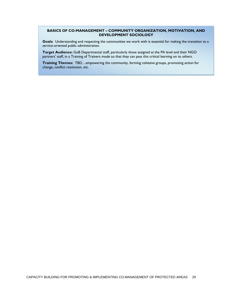#### **BASICS OF CO-MANAGEMENT – COMMUNITY ORGANIZATION, MOTIVATION, AND DEVELOPMENT SOCIOLOGY**

**Goals:** Understanding and respecting the communities we work with is essential for making the transition to a service-oriented public administration.

**Target Audience:** GoB Departmental staff, particularly those assigned at the PA level and their NGO partners' staff, in a Training of Trainers mode so that they can pass this critical learning on to others.

**Training Themes:** TBD…empowering the community, forming cohesive groups, promoting action for change, conflict resolution, etc.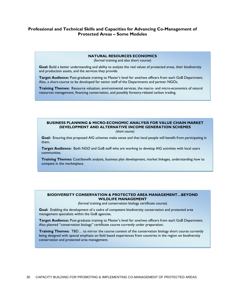### **Professional and Technical Skills and Capacities for Advancing Co-Management of Protected Areas – Some Modules**

#### **NATURAL RESOURCES ECONOMICS**

(formal training and also short course)

**Goal:** Build a better understanding and ability to analyze the real values of protected areas, their biodiversity and production assets, and the services they provide.

**Target Audience:** Post-graduate training to Master's level for one/two officers from each GoB Department. Also, a short-course to be developed for senior staff of the Departments and partner NGOs.

**Training Themes:** Resource valuation, environmental services, the macro- and micro-economics of natural resources management, financing conservation, and possibly forestry-related carbon trading.

### **BUSINESS PLANNING & MICRO-ECONOMIC ANALYSIS FOR VALUE CHAIN MARKET DEVELOPMENT AND ALTERNATIVE INCOME GENERATION SCHEMES**

*(short course)* 

**Goal:** Ensuring that proposed AIG schemes make sense and that local people will benefit from participating in them.

**Target Audience:** Both NGO and GoB staff who are working to develop AIG activities with local users communities.

**Training Themes:** Cost/benefit analysis, business plan development, market linkages, understanding how to compete in the marketplace.

#### **BIODIVERSITY CONSERVATION & PROTECTED AREA MANAGEMENT…BEYOND WILDLIFE MANAGEMENT**

(formal training and conservation biology certificate course)

**Goal:** Enabling the development of a cadre of competent biodiversity conservation and protected area management specialists within the GoB agencies.

**Target Audience:** Post-graduate training to Master's level for one/two officers from each GoB Department. Also planned "conservation biology" certificate course currently under preparation.

**Training Themes:** TBD… to mirror the course content of the conservation biology short course currently being designed with special emphasis on field based experiences from countries in the region on biodiversity conservation and protected area management.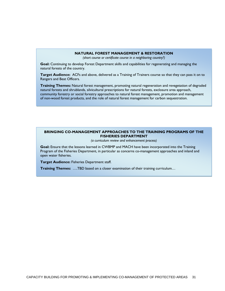#### **NATURAL FOREST MANAGEMENT & RESTORATION**

*(short course or certificate course in a neighboring country?)* 

**Goal:** Continuing to develop Forest Department skills and capabilities for regenerating and managing the natural forests of the country.

**Target Audience:** ACFs and above, delivered as a Training of Trainers course so that they can pass it on to Rangers and Beat Officers.

**Training Themes:** Natural forest management, promoting natural regeneration and revegetation of degraded natural forests and shrublands, silvicultural prescriptions for natural forests, exclosure area approach, community forestry or social forestry approaches to natural forest management, promotion and management of non-wood forest products, and the role of natural forest management for carbon sequestration.

#### **BRINGING CO-MANAGEMENT APPROACHES TO THE TRAINING PROGRAMS OF THE FISHERIES DEPARTMENT**

*(a curriculum review and enhancement process)* 

**Goal:** Ensure that the lessons learned in CWBMP and MACH have been incorporated into the Training Program of the Fisheries Department, in particular as concerns co-management approaches and inland and open water fisheries.

**Target Audience:** Fisheries Department staff.

**Training Themes:** ….TBD based on a closer examination of their training curriculum…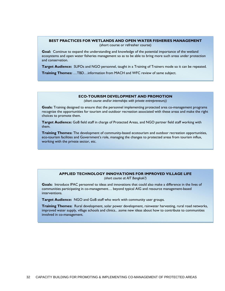#### **BEST PRACTICES FOR WETLANDS AND OPEN WATER FISHERIES MANAGEMENT**

(short course or refresher course)

**Goal:** Continue to expand the understanding and knowledge of the potential importance of the wetland ecosystems and open water fisheries management so as to be able to bring more such areas under protection and conservation.

**Target Audience:** SUFOs and NGO personnel, taught in a Training of Trainers mode so it can be repeated.

**Training Themes:** …TBD…information from MACH and WFC review of same subject.

#### **ECO-TOURISM DEVELOPMENT AND PROMOTION**

*(short course and/or internships with private entrepreneurs))* 

**Goals:** Training designed to ensure that the personnel implementing protected area co-management programs recognize the opportunities for tourism and outdoor recreation associated with these areas and make the right choices to promote them.

**Target Audience:** GoB field staff in charge of Protected Areas, and NGO partner field staff working with them.

**Training Themes:** The development of community-based ecotourism and outdoor recreation opportunities, eco-tourism facilities and Government's role, managing the changes to protected areas from tourism influx, working with the private sector, etc.

#### **APPLIED TECHNOLOGY INNOVATIONS FOR IMPROVED VILLAGE LIFE**

*(short course at AIT Bangkok?)* 

**Goals:** Introduce IPAC personnel to ideas and innovations that could also make a difference in the lives of communities participating in co-management… beyond typical AIG and resource management-based interventions.

**Target Audience:** NGO and GoB staff who work with community user groups.

**Training Themes:** Rural development, solar power development, rainwater harvesting, rural road networks, improved water supply, village schools and clinics.. .some new ideas about how to contribute to communities involved in co-management.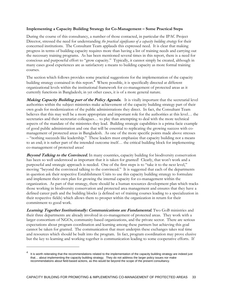### **Implementing a Capacity Building Strategy for Co-Management – Some Practical Steps**

During the course of this consultancy, a number of those contacted, in particular the IPAC Project Director, stressed the need for understanding *the practical significance of a capacity building strategy* for their concerned institutions. The Consultant Team applauds this expressed need. It is clear that making progress in terms of building capacity requires more than having a list of training needs and carrying out the necessary training programs. As has been mentioned several times in this report, there is a need for conscious and purposeful effort to "grow capacity." Typically, it cannot simply be created, although in many cases good experiences are as satisfactory a means to building capacity as more formal training courses.

The section which follows provides some practical suggestions for the implementation of the capacity building strategy contained in this report.<sup>4</sup> Where possible, it is specifically directed at different organizational levels within the institutional framework for co-management of protected areas as it currently functions in Bangladesh; in yet other cases, it is of a more general nature.

**Making Capacity Building part of the Policy Agenda.** It is vitally important that the secretarial level authorities within the subject ministries make achievement of the capacity building strategy part of their own goals for modernization of the public administrations they direct. In fact, the Consultant Team believes that this may well be a more appropriate and important role for the authorities at this level… the secretaries and their secretariat colleagues... to play than attempting to deal with the more technical aspects of the mandate of the ministries they lead. Building strategic capabilities is a prima facie example of good public administration and one that will be essential to replicating the growing success with comanagement of protected areas in Bangladesh. As one of the more specific points made above stresses – "nothing succeeds like leadership." These leaders must emphasize that capacity building not a means to an end; it is rather part of the intended outcome itself… the critical building block for implementing co-management of protected areas!

**Beyond Talking to the Convinced.** In many countries, capacity building for biodiversity conservation has been so well understood as important that it is taken for granted! Clearly, that won't work and a purposeful and strategic approach is needed. One of the first steps is to "take it to the next level," moving "beyond the convinced talking to the convinced." It is suggested that each of the departments in question ask their respective Establishment Units to use this capacity building strategy to formulate and implement their own plan for growing the internal capacity for co-management within the organization. As part of that strategy, there should be a human resources development plan which tracks those working in biodiversity conservation and protected area management and ensures that they have a defined career path and the building blocks (a defined set of training courses leading to a specialization in their respective fields) which allows them to prosper within the organization in return for their commitment to good work.

**Learning Together Institutionally: Communications are Fundamental.** Two GoB ministries and their three departments are already involved in co-management of protected areas. They work with a larger consortium of NGOs, community-based organizations, and the private sector. There are serious expectations about program coordination and learning among these partners but achieving this goal cannot be taken for granted. The communication that must underpin these exchanges takes real time and resources which should be built into the program. In fact, program coordination may prove elusive but the key to learning and working together is communication leading to some cooperative efforts. If

-

<sup>4</sup> It is worth reiterating that the recommendations related to the implementation of the capacity building strategy are indeed just that… about implementing the capacity building strategy. They do not address the larger policy issues nor make recommendations about field-based actions, as this would be beyond the scope of the present consultancy.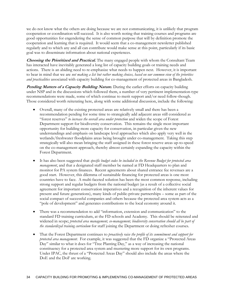we do not know what the others are doing because we are not communicating, it is unlikely that program cooperation or coordination will succeed. It is also worth noting that training courses and programs are good opportunities for engendering the sense of common purpose that will by definition promote the cooperation and learning that is required. It would seem that a co-management newsletter published regularly and to which any and all can contribute would make sense at this point, particularly if its basic goal was to disseminate information about national experiences.

**Choosing the Prioritized and Practical.** The many engaged people with whom the Consultant Team has interacted have inevitably generated a long list of capacity building goals or training needs and actions. There is an abiding need to re-emphasize what needs to happen next. However, it is important to bear in mind that we are *not making a list but rather making choices, based on our common view of the priorities and practicalities* associated with capacity building for co-management of protected areas in Bangladesh.

**Pending Matters of a Capacity Building Nature.** During the earlier efforts on capacity building under NSP and in the discussions which followed them, a number of very pertinent implementation-type recommendations were made, some of which continue to merit support and/or need follow-though. Those considered worth reiterating here, along with some additional discussion, include the following:

- Overall, many of the existing protected areas are relatively small and there has been a recommendation pending for some time to strategically add adjacent areas still considered as "forest reserves" *to increase the overall area under protection* and widen the scope of Forest Department support for biodiversity conservation. This remains the single most important opportunity for building more capacity for conservation, in particular given the new understandings and emphasis on landscape level approaches which also apply very well in the wetlands/freshwater floodplains areas being brought under co-management. Taking this step strategically will also mean bringing the staff assigned in these forest reserve areas up-to-speed on the co-management approach, thereby almost certainly expanding the capacity within the Forest Department.
- It has also been suggested that *specific budget codes be included in the Revenue Budget for protected area management*, and that a designated staff member be named at FD Headquarters to plan and monitor for PA system finances. Recent agreements about shared entrance fee revenues are a good start. However, this dilemma of sustainable financing for protected areas is one most countries have to face. A multi-faceted solution has been the most common response, including strong support and regular budgets from the national budget (as a result of a collective social agreement for important conservation imperatives and a recognition of the inherent values for present and future generations), many kinds of public-private partnerships – some as part of the social compact of successful companies and others because the protected area system acts as a "pole of development" and generates contributions to the local economy around it.
- There was a recommendation to add "information, extension and communication" to the standard FD training curriculum, at the FD schools and Academy. This should be reiterated and widened in scope; *protected area management, co-management, biodiversity conservation should all be part of the standardized training curriculum* for staff joining the Department or doing refresher courses.
- That the Forest Department continues to *proactively raise the profile of its commitment and support for protected area management*. For example, it was suggested that the FD organize a "Protected Areas Day" similar to what it does for "Tree Planting Day," as a way of increasing the national constituency for a protected area system and mustering more support for its own programs. Under IPAC, the thrust of a "Protected Areas Day" should also include the areas where the DoE and the DoF are working.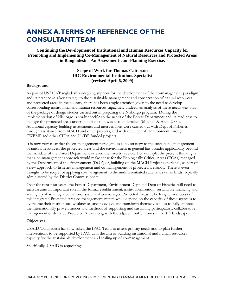# **ANNEX A. TERMS OF REFERENCE OF THE CONSULTANT TEAM**

**Continuing the Development of Institutional and Human Resources Capacity for Promoting and Implementing Co-Management of Natural Resources and Protected Areas in Bangladesh – An Assessment-cum-Planning Exercise.** 

# **Scope of Work for Thomas Catterson IRG Environmental Institutions Specialist (revised April 6, 2009)**

#### **Background**

As part of USAID/Bangladesh's on-going support for the development of the co-management paradigm and its practice as a key strategy to the sustainable management and conservation of natural resources and protected areas in the country, there has been ample attention given to the need to develop corresponding institutional and human resources capacities. Indeed, an analysis of these needs was part of the package of design studies carried out in preparing the Nishorgo program. During the implementation of Nishorgo, a study specific to the needs of the Forest Department and its readiness to manage the protected areas under its jurisdiction was also undertaken (Mitchell & Alum 2004). Additional capacity building assessments and interventions were carried out with Dept of Fisheries through assistance from MACH and other projects, and with the Dept of Environment through CWBMP and other CIDA and UNDP funded projects.

It is now very clear that the co-management paradigm, as a key strategy to the sustainable management of natural resources, the protected areas and the environment in general has broader applicability beyond the mandate of the Forest Department or even the forestry sector. For example, the present thinking is that a co-management approach would make sense for the Ecologically Critical Areas (ECAs) managed by the Department of the Environment (DOE) or, building on the MACH Project experience, as part of a new approach to fisheries management and co-management of protected wetlands. There is even thought to be scope for applying co-management to the undifferentiated state lands (khas lands) typically administered by the District Commissioners.

Over the next four years, the Forest Department, Environment Dept and Dept of Fisheries will need to each assume an important role in the formal establishment, institutionalization, sustainable financing and scaling up of an integrated national system of co-managed Protected Areas. The long term success of this integrated Protected Area co-management system while depend on the capacity of these agencies to overcome their institutional weaknesses and to evolve and transform themselves so as to fully embrace the internationally proven modes and methods of supporting and sustaining participatory, collaborative management of declared Protected Areas along with the adjacent buffer zones in the PA landscape.

#### **Objectives**

USAID/Bangladesh has now asked the IPAC Team to assess priority needs and to plan further interventions to be supported by IPAC with the aim of building institutional and human resources capacity for the sustainable development and scaling up of co-management.

Specifically, USAID is requesting: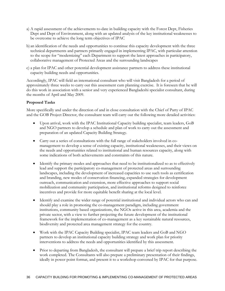- a) A rapid assessment of the achievements to-date in building capacity with the Forest Dept, Fisheries Dept and Dept of Environment, along with an updated analysis of the key institutional weaknesses to be overcome to achieve the long term objectives of IPAC
- b) an identification of the needs and opportunities to continue this capacity development with the three technical departments and partners primarily engaged in implementing IPAC, with particular attention to the scope for "modernizing" each Department to support the latest approaches in participatory, collaborative management of Protected Areas and the surrounding landscapes
- c) a plan for IPAC and other potential development assistance partners to address these institutional capacity building needs and opportunities.

Accordingly, IPAC will field an international consultant who will visit Bangladesh for a period of approximately three weeks to carry out this assessment cum planning exercise. It is foreseen that he will do this work in association with a senior and very experienced Bangladeshi specialist consultant, during the months of April and May 2009.

### **Proposed Tasks**

More specifically and under the direction of and in close consultation with the Chief of Party of IPAC and the GOB Project Director, the consultant team will carry out the following more detailed activities:

- Upon arrival, work with the IPAC Institutional Capacity building specialist, team leaders, GoB and NGO partners to develop a schedule and plan of work to carry out the assessment and preparation of an updated Capacity Building Strategy.
- Carry out a series of consultations with the full range of stakeholders involved in comanagement to develop a sense of existing capacity, institutional weaknesses, and their views on the needs and opportunities related to institutional and human resources capacity, along with some indications of both achievements and constraints of this nature.
- Identify the primary modes and approaches that need to be institutionalized so as to effectively lead and support the participatory co-management of protected areas and surrounding landscapes, including the development of increased capacities to use such tools as certification and branding, new modes of conservation financing, expanded strategies for development outreach, communication and extension, more effective approaches to support social mobilization and community participation, and institutional reforms designed to reinforce incentives and provide for more equitable benefit sharing at the local level.
- Identify and examine the wider range of potential institutional and individual actors who can and should play a role in promoting the co-management paradigm, including government institutions, community based organizations, the NGOs active in this area, academia and the private sector, with a view to further projecting the future development of the institutional framework for the implementation of co-management as a key sustainable natural resources, biodiversity and protected area management strategy for the country.
- Work with the IPAC Capacity Building specialist, IPAC team leaders and GoB and NGO partners to develop an institutional capacity building strategy and work plan for priority interventions to address the needs and opportunities identified by this assessment.
- Prior to departing from Bangladesh, the consultant will prepare a brief trip report describing the work completed. The Consultants will also prepare a preliminary presentation of their findings, ideally in power point format, and present it to a workshop convened by IPAC for that purpose.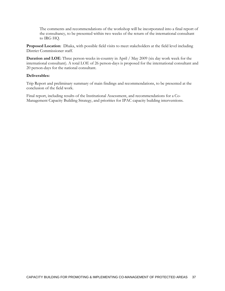The comments and recommendations of the workshop will be incorporated into a final report of the consultancy, to be presented within two weeks of the return of the international consultant to IRG HQ.

**Proposed Location**: Dhaka, with possible field visits to meet stakeholders at the field level including District Commissioner staff.

**Duration and LOE**: Three person-weeks in-country in April / May 2009 (six day work week for the international consultant). A total LOE of 26 person-days is proposed for the international consultant and 20 person-days for the national consultant.

### **Deliverables:**

Trip Report and preliminary summary of main findings and recommendations, to be presented at the conclusion of the field work.

Final report, including results of the Institutional Assessment, and recommendations for a Co-Management Capacity Building Strategy, and priorities for IPAC capacity building interventions.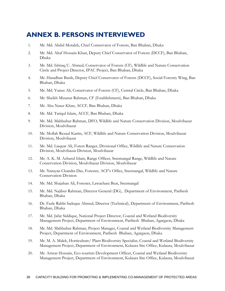# **ANNEX B. PERSONS INTERVIEWED**

- 1. Mr. Md. Abdul Motaleb, Chief Conservator of Forests, Ban Bhaban, Dhaka
- 2. Mr. Md. Altaf Hossain Khan, Deputy Chief Conservator of Forests (DCCF), Ban Bhaban, Dhaka
- 3. Mr. Md. Ishtiaq U. Ahmed, Conservator of Forests (CF), Wildlife and Nature Conservation Circle and Project Director, IPAC Project, Ban Bhaban, Dhaka
- 4. Mr. Haradhan Banik, Deputy Chief Conservator of Forests (DCCF), Social Forestry Wing, Ban Bhaban, Dhaka
- 5. Mr. Md. Yunus Ali, Conservator of Forests (CF), Central Circle, Ban Bhaban, Dhaka
- 6. Mr. Sheikh Mizanur Rahman, CF (Establishment), Ban Bhaban, Dhaka
- 7. Mr. Abu Naser Khan, ACCF, Ban Bhaban, Dhaka
- 8. Mr. Md. Tariqul Islam, ACCF, Ban Bhaban, Dhaka
- 9. Mr. Md. Mahbubur Rahman, DFO, Wildlife and Nature Conservation Division, Moulvibazar Division, Moulvibazar
- 10. Mr. Mollah Rezaul Karim, ACF, Wildlife and Nature Conservation Division, Moulvibazar Division, Moulvibazar
- 11. Mr. Md. Liaquat Ali, Forest Ranger, Divisional Office, Wildlife and Nature Conservation Division, Moulvibazar Division, Moulvibazar
- 12. Mr. A. K. M. Azharul Islam, Range Officer, Sreemangal Range, Wildlife and Nature Conservation Division, Moulvibazar Division, Moulvibazar
- 13. Mr. Narayan Chandra Das, Forester, ACF's Office, Sreemangal, Wildlife and Nature Conservation Division
- 14. Mr. Md. Shajahan Ali, Forester, Lawachara Beat, Sreemangal
- 15. Mr. Md. Najibur Rahman, Director General (DG), Department of Environment, Paribesh Bhaban, Dhaka
- 16. Dr. Fazle Rabbi Sadeque Ahmed, Director (Technical), Department of Environment, Paribesh Bhaban, Dhaka
- 17. Mr. Md. Jafar Siddique, National Project Director, Coastal and Wetland Biodiversity Management Project, Department of Environment, Paribesh Bhaban, Agargaon, Dhaka
- 18. Mr. Md. Mahbubur Rahman, Project Manager, Coastal and Wetland Biodiversity Management Project, Department of Environment, Paribesh Bhaban, Agargaon, Dhaka
- 19. Mr. M. A. Malek, Horticulture/ Plant Biodiversity Specialist, Coastal and Wetland Biodiversity Management Project, Department of Environment, Kulaura Site Office, Kulaura, Moulvibazar
- 20. Mr. Anwar Hossain, Eco-tourism Development Officer, Coastal and Wetland Biodiversity Management Project, Department of Environment, Kulaura Site Office, Kulaura, Moulvibazar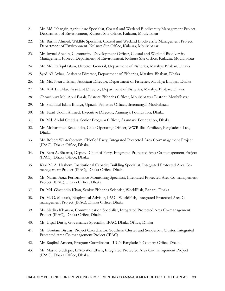- 21. Mr. Md. Jahangir, Agriculture Specialist, Coastal and Wetland Biodiversity Management Project, Department of Environment, Kulaura Site Office, Kulaura, Moulvibazar
- 22. Mr. Bashir Ahmed, Wildlife Specialist, Coastal and Wetland Biodiversity Management Project, Department of Environment, Kulaura Site Office, Kulaura, Moulvibazar
- 23. Mr. Joynal Abedin, Community Development Officer, Coastal and Wetland Biodiversity Management Project, Department of Environment, Kulaura Site Office, Kulaura, Moulvibazar
- 24. Mr. Md. Rafiqul Islam, Director General, Department of Fisheries, Matshya Bhaban, Dhaka
- 25. Syed Ali Azhar, Assistant Director, Department of Fisheries, Matshya Bhaban, Dhaka
- 26. Mr. Md. Nazrul Islam, Assistant Director, Department of Fisheries, Matshya Bhaban, Dhaka
- 27. Mr. Arif Tarafdar, Assistant Director, Department of Fisheries, Matshya Bhaban, Dhaka
- 28. Chowdhury Md. Abul Farah, District Fisheries Officer, Moulvibaazar District, Moulvibazar
- 29. Mr. Shahidul Islam Bhuiya, Upazila Fisheries Officer, Sreemangal, Moulvibazar
- 30. Mr. Farid Uddin Ahmed, Executive Director, Arannayk Foundation, Dhaka
- 31. Dr. Md. Abdul Quddus, Senior Program Officer, Arannayk Foundation, Dhaka
- 32. Mr. Mohammad Reazuddin, Chief Operating Officer, WWR Bio Fertilizer, Bangladesh Ltd., Dhaka
- 33. Mr. Robert Winterbottom, Chief of Party, Integrated Protected Area Co-management Project (IPAC), Dhaka Office, Dhaka
- 34. Dr. Ram A. Sharma, Deputy- Chief of Party, Integrated Protected Area Co-management Project (IPAC), Dhaka Office, Dhaka
- 35. Kazi M. A. Hashem, Institutional Capacity Building Specialist, Integrated Protected Area Comanagement Project (IPAC), Dhaka Office, Dhaka
- 36. Mr. Nasim Aziz, Performance-Monitoring Specialist, Integrated Protected Area Co-management Project (IPAC), Dhaka Office, Dhaka
- 37. Dr. Md. Giasuddin Khan, Senior Fisheries Scientist, WorldFish, Banani, Dhaka
- 38. Dr. M. G. Mustafa, Biophysical Advisor, IPAC- WorldFish, Integrated Protected Area Comanagement Project (IPAC), Dhaka Office, Dhaka
- 39. Ms. Nadira Khanam, Communication Specialist, Integrated Protected Area Co-management Project (IPAC), Dhaka Office, Dhaka
- 40. Mr. Utpal Dutta, Governance Specialist, IPAC, Dhaka Office, Dhaka
- 41. Mr. Goutam Biswas, Project Coordinator, Southern Cluster and Sunderban Cluster, Integrated Protected Area Co-management Project (IPAC)
- 42. Mr. Raqibul Ameen, Program Coordinator, IUCN Bangladesh Country Office, Dhaka
- 43. Mr. Masud Siddique, IPAC-WorldFish, Integrated Protected Area Co-management Project (IPAC), Dhaka Office, Dhaka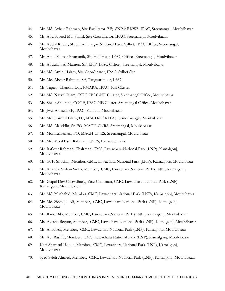- 44. Mr. Md. Azizur Rahman, Site Facilitator (SF), SNP& RKWS, IPAC, Sreemangal, Moulvibazar
- 45. Mr. Abu Sayeed Md. Sharif, Site Coordinator, IPAC, Sreemangal, Moulvibazar
- 46. Mr. Abdul Kader, SF, Khadimnagar National Park, Sylhet, IPAC Office, Sreemangal, Moulvibazar
- 47. Mr. Amal Kumar Promanik, SF, Hail Haor, IPAC Office,. Sreemangal, Moulvibazar
- 48. Mr. Abdullah Al Mamun, SF, LNP, IPAC Office,. Sreemangal, Moulvibazar
- 49. Mr. Md. Amirul Islam, Site Coordinator, IPAC, Sylhet Site
- 50. Mr. Md. Abdur Rahman, SF, Tanguar Haor, IPAC
- 51. Mr. Tapash Chandra Das, PMARA, IPAC- NE Cluster
- 52. Mr. Md. Nazrul Islam, CSPC, IPAC-NE Cluster, Sreemangal Office, Moulvibazar
- 53. Ms. Shaila Shultana, COGF, IPAC-NE Cluster, Sreemangal Office, Moulvibazar
- 54. Mr. Jwel Ahmed, SF, IPAC, Kulaura, Moulvibazar
- 55. Mr. Md. Kamrul Islam, FC, MACH-CARITAS, Srmeemangal, Moulvibazar
- 56. Mr. Md. Alauddin, Sr. FO, MACH-CNRS, Sreemangal, Moulvibazar
- 57. Mr. Moniruzzaman, FO, MACH-CNRS, Sreemangal, Moulvibazar
- 58. Mr. Md. Mooklesur Rahman, CNRS, Banani, Dhaka
- 59. Mr. Rafiqur Rahman, Chairman, CMC, Lawachara National Park (LNP), Kamalgonj, Moulvibazar
- 60. Mr. G. P. Shuchin, Member, CMC, Lawachara National Park (LNP), Kamalgonj, Moulvibazar
- 61. Mr. Ananda Mohan Sinha, Member, CMC, Lawachara National Park (LNP), Kamalgonj, Moulvibazar
- 62. Mr. Gopal Dev Chowdhury, Vice-Chairman, CMC, Lawachara National Park (LNP), Kamalgonj, Moulvibazar
- 63. Mr. Md. Mushahid, Member, CMC, Lawachara National Park (LNP), Kamalgonj, Moulvibazar
- 64. Mr. Md. Siddique Ali, Member, CMC, Lawachara National Park (LNP), Kamalgonj, Moulvibazar
- 65. Ms. Rano Bibi, Member, CMC, Lawachara National Park (LNP), Kamalgonj, Moulvibazar
- 66. Ms. Ayesha Begum, Member, CMC, Lawachara National Park (LNP), Kamalgonj, Moulvibazar
- 67. Mr. Ahad Ali, Member, CMC, Lawachara National Park (LNP), Kamalgonj, Moulvibazar
- 68. Mr. Ab. Rashid, Member, CMC, Lawachara National Park (LNP), Kamalgonj, Moulvibazar
- 69. Kazi Shamsul Hoque, Member, CMC, Lawachara National Park (LNP), Kamalgonj, Moulvibazar
- 70. Syed Saleh Ahmed, Member, CMC, Lawachara National Park (LNP), Kamalgonj, Moulvibazar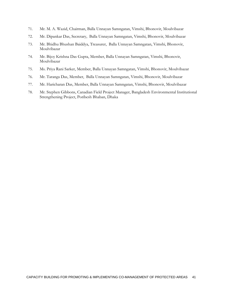- 71. Mr. M. A. Wazid, Chairman, Balla Unnayan Samngatan, Vimshi, Bhonovir, Moulvibazar
- 72. Mr. Dipankar Das, Secretary, Balla Unnayan Samngatan, Vimshi, Bhonovir, Moulvibazar
- 73. Mr. Bhidhu Bhushan Baiddya, Treasurer, Balla Unnayan Samngatan, Vimshi, Bhonovir, Moulvibazar
- 74. Mr. Bijoy Krishna Das Gupta, Member, Balla Unnayan Samngatan, Vimshi, Bhonovir, Moulvibazar
- 75. Ms. Priya Rani Sarker, Member, Balla Unnayan Samngatan, Vimshi, Bhonovir, Moulvibazar
- 76. Mr. Taranga Das, Member, Balla Unnayan Samngatan, Vimshi, Bhonovir, Moulvibazar
- 77. Mr. Haricharan Das, Member, Balla Unnayan Samngatan, Vimshi, Bhonovir, Moulvibazar
- 78. Mr. Stephen Gibbons, Canadian Field Project Manager, Bangladesh Environmental Institutional Strengthening Project, Poribesh Bhaban, Dhaka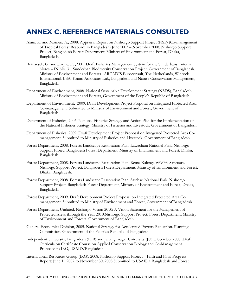# **ANNEX C. REFERENCE MATERIALS CONSULTED**

- Alam, K. and Momen, A., 2008. Appraisal Report on Nishorgo Support Project (NSP) (Co-management of Tropical Forest Resource in Bangladesh) June 2003 – November 2008. Nishorgo Support Project, Bangladesh Forest Department, Ministry of Environment and Forest, Dhaka, Bangladesh.
- Bernacsek, G. and Haque, E. ,2001. Draft Fisheries Management System for the Sunderbans. Internal Notes – IN No. 31. Sunderban Biodiversity Conservation Project. Government of Bangladesh. Ministry of Environment and Forests. ARCADIS Euroconsult, The Netherlands, Winrock International, USA; Kranti Associates Ltd., Bangladesh and Nature Conservation Management, Bangladesh.
- Department of Environment, 2008. National Sustainable Development Strategy (NSDS), Bangladesh. Ministry of Environment and Forests, Government of the People's Republic of Bangladesh.
- Department of Environment, 2009. Draft Development Project Proposal on Integrated Protected Area Co-management. Submitted to Ministry of Environment and Forest, Government of Bangladesh.
- Department of Fisheries, 2006. National Fisheries Strategy and Action Plan for the Implementation of the National Fisheries Strategy. Ministry of Fisheries and Livestock, Government of Bangladesh.
- Department of Fisheries, 2009. Draft Development Project Proposal on Integrated Protected Area Comanagement. Submitted to Ministry of Fisheries and Livestock. Government of Bangladesh
- Forest Department, 2008. Forests Landscape Restoration Plan: Lawachara National Park. Nishorgo Support Projec, Bangladesh Forest Department, Ministry of Environment and Forest, Dhaka, Bangladesh.
- Forest Department, 2008. Forests Landscape Restoration Plan: Rema-Kalenga Wildlife Sancuary. Nishorgo Support Project, Bangladesh Forest Department, Ministry of Environment and Forest, Dhaka, Bangladesh.
- Forest Department, 2008. Forests Landscape Restoration Plan: Satchari National Park. Nishorgo Support Project, Bangladesh Forest Department, Ministry of Environment and Forest, Dhaka, Bangladesh.
- Forest Department, 2009. Draft Development Project Proposal on Integrated Protected Area Comanagement. Submitted to Ministry of Environment and Forest, Government of Bangladesh.
- Forest Department, Undated. Nishorgo Vision 2010: A Vision Statement for the Management of Protected Areas through the Year 2010.Nishorgo Support Project. Forest Department, Ministry of Environment and Forests, Government of Bangladesh.
- General Economics Division, 2005. National Strategy for Accelerated Poverty Reduction. Planning Commission. Government of the People's Republic of Bangladesh.
- Independent University, Bangladesh (IUB) and Jahangirnagar University (JU), December 2008. Draft Curricula on Certificate Course on Applied Conservation Biology and Co-Management. Proposed to IRG, USAID/Bangladesh.
- International Resources Group (IRG), 2008. Nishorgo Support Project Fifth and Final Progress Report: June 1, 2007 to November 30, 2008.Submitted to USAID/ Bangladesh and Forest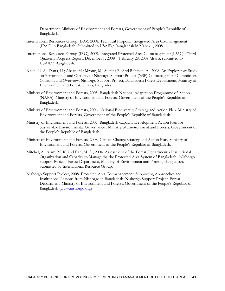Department, Ministry of Environment and Forests, Government of People's Republic of Bangladesh.

- International Resources Group (IRG), 2008. Technical Proposal: Integrated Area Co-management (IPAC) in Bangladesh. Submitted to USAID/ Bangladesh in March 1, 2008.
- International Resources Group (IRG), 2009. Integrated Protected Area Co-management (IPAC) : Third Quarterly Progress Report, December 1, 2008 – February 28, 2009 (draft), submitted to USAID/ Bangladesh.
- Khan, N. A.; Dutta, U.; Ahsan, M.; Mrong, M.; Sultana,R. And Rahman, A., 2008. An Exploratory Study on Performance and Capacity of Nishorgo Support Project (NSP) Co-management Committees: Collation and Overview. Nishorgo Support Project, Bangladesh Forest Department, Ministry of Environment and Forest, Dhaka, Bangladesh.
- Ministry of Environment and Forests, 2005. Bangladesh National Adaptation Programme of Action (NAPA). Ministry of Environment and Forests, Government of the People's Republic of Bangladesh.
- Ministry of Environment and Forests, 2006. National Biodiversity Strategy and Action Plan. Ministry of Environment and Forests, Government of the People's Republic of Bangladesh.
- Ministry of Environment and Forests, 2007. Bangladesh Capacity Development Action Plan for Sustainable Environmental Governance . Ministry of Environment and Forests, Government of the People's Republic of Bangladesh.
- Ministry of Environment and Forests, 2008. Climate Change Strategy and Action Plan. Ministry of Environment and Forests, Government of the People's Republic of Bangladesh.
- Mitchel, A.; Alam, M. K. and Bari, M. A., 2004. Assessment of the Forest Department'a Institutional Organization and Capacity to Manage the the Protected Area System of Bangladesh. Nishorgo Support Project, Forest Department, Ministry of Environment and Forests, Bangladesh. Submitted by International Resource Group.
- Nishorgo Support Project, 2008. Protected Area Co-management: Supporting Approaches and Institutions, Lessons from Nishorgo in Bangladesh. Nishorgo Support Project, Forest Department, Ministry of Environment and Forests, Government of the People's Republic of Bangladesh (www.nishorgo.org)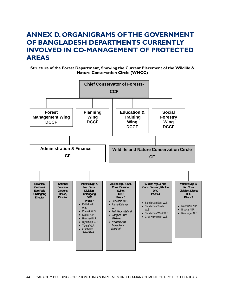# **ANNEX D. ORGANIGRAMS OF THE GOVERNMENT OF BANGLADESH DEPARTMENTS CURRENTLY INVOLVED IN CO-MANAGEMENT OF PROTECTED AREAS**

**Structure of the Forest Department, Showing the Current Placement of the Wildlife & Nature Conservation Circle (WNCC)** 

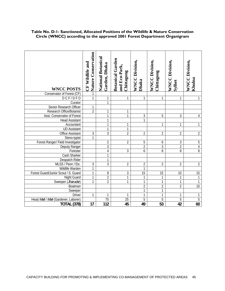| <b>WNCC POSTS</b>                    | Nature Conservation<br>CF Wildlife and | <b>National Botanical</b><br>Garden, Dhaka | <b>Botanical Garden</b><br>and Eco-Park,<br>Chittagong | <b>WNCC Division,</b><br>Dhaka | <b>WNCC Division,</b><br>Chittagong | <b>WNCC Division,</b><br>Sylhet | <b>WNCC Division,</b><br>Khulna |
|--------------------------------------|----------------------------------------|--------------------------------------------|--------------------------------------------------------|--------------------------------|-------------------------------------|---------------------------------|---------------------------------|
| Conservator of Forest (CF)           | 1                                      |                                            |                                                        |                                |                                     |                                 |                                 |
| DCF/DFO                              | 1                                      | 1                                          | 1                                                      | 1                              | 1                                   | 1                               | 1                               |
| Curator                              |                                        | $\mathbf{1}$                               |                                                        |                                |                                     |                                 |                                 |
| Senior Research Officer              | 1                                      |                                            |                                                        |                                |                                     |                                 |                                 |
| Research Office/Botanist             | $\overline{2}$                         | 1                                          | 1                                                      |                                |                                     |                                 |                                 |
| Asst. Conservator of Forest          |                                        | 1                                          | 1                                                      | 3                              | 5                                   | 3                               | 4                               |
| <b>Head Assistant</b>                |                                        | $\overline{1}$                             |                                                        | 1                              |                                     |                                 |                                 |
| Accountant                           |                                        | 1                                          | 1                                                      |                                | 1                                   | 1                               | 1                               |
| <b>UD Assistant</b>                  |                                        | 1                                          |                                                        |                                |                                     |                                 |                                 |
| <b>Office Assistant</b>              | $\mathfrak{Z}$                         | $\overline{3}$                             | $\overline{2}$                                         | $\overline{2}$                 | $\overline{2}$                      | $\overline{2}$                  | $\overline{2}$                  |
| Steno-typist                         | $\mathbf{1}$                           |                                            |                                                        |                                |                                     |                                 |                                 |
| Forest Ranger/ Field Investigator    |                                        | $\overline{2}$                             | $\overline{2}$                                         | 5                              | 6                                   | 3                               | $\overline{5}$                  |
| Deputy Ranger                        |                                        | 3                                          |                                                        | $\overline{2}$                 | $\overline{3}$                      | $\overline{2}$                  | $\overline{4}$                  |
| Forester                             |                                        | 4                                          | 3                                                      | 6                              | 8                                   | 8                               | $\overline{8}$                  |
| <b>Cash Sharker</b>                  |                                        | $\mathbf{1}$                               |                                                        |                                |                                     |                                 |                                 |
| Despatch Rider                       |                                        | $\mathbf{1}$                               |                                                        |                                |                                     |                                 |                                 |
| MLSS / Peon / Etc.                   | $\overline{3}$                         | $\overline{3}$                             | $\overline{2}$                                         | $\overline{2}$                 | $\overline{2}$                      | $\overline{2}$                  | $\overline{2}$                  |
| Wildlife Warden                      | $\mathbf{1}$                           |                                            |                                                        | 1                              |                                     |                                 |                                 |
| Forest Guard/Junior Scout / S. Guard | $\mathbf{1}$                           | 8                                          | 3                                                      | $\overline{15}$                | 15                                  | 10                              | 15                              |
| <b>Night Guard</b>                   | 1                                      | $\overline{2}$                             | 1                                                      | 1                              | 1                                   |                                 | $\mathbf{1}$                    |
| Sweeper (Jharudar)                   |                                        | $\overline{2}$                             | 1                                                      | 1                              | 1                                   | 1                               | $\mathbf{1}$                    |
| Boatman                              |                                        |                                            |                                                        | $\overline{2}$                 | $\overline{2}$                      | $\overline{2}$                  | $\overline{10}$                 |
| Sweeper                              |                                        |                                            |                                                        | $\mathbf{1}$                   | $\overline{1}$                      |                                 |                                 |
| <b>Driver</b>                        | 1                                      | 1                                          |                                                        | 1                              | $\overline{1}$                      | 1                               | 1                               |
| Head Mali   Mali (Gardener, Laborer) |                                        | 75                                         | $\overline{25}$                                        | 5                              | $\overline{5}$                      | 5                               | $\overline{5}$                  |
| <b>TOTAL (378)</b>                   | 17                                     | 112                                        | 45                                                     | 49                             | $\overline{53}$                     | 42                              | 60                              |

# **Table No. D-1- Sanctioned, Allocated Positions of the Wildlife & Nature Conservation Circle (WNCC) according to the approved 2001 Forest Department Organigram**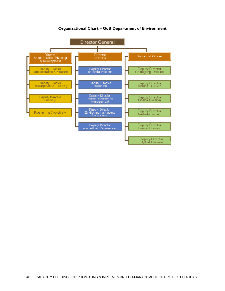

### **Organizational Chart – GoB Department of Environment**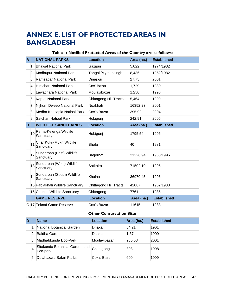# **ANNEX E. LIST OF PROTECTED AREAS IN BANGLADESH**

### **Table 1: Notified Protected Areas of the Country are as follows:**

| A |                                              | <b>NATIONAL PARKS</b>                   | <b>Location</b>               | Area (ha.) | <b>Established</b> |
|---|----------------------------------------------|-----------------------------------------|-------------------------------|------------|--------------------|
|   | 1                                            | <b>Bhawal National Park</b>             | Gazipur                       | 5,022      | 1974/1982          |
|   | $\overline{2}$                               | <b>Modhupur National Park</b>           | Tangail/Mymensingh            | 8,436      | 1962/1982          |
|   | 3                                            | Ramsagar National Park                  | Dinajpur                      | 27.75      | 2001               |
|   | 4                                            | Himchari National Park                  | Cox' Bazar                    | 1,729      | 1980               |
|   | 5                                            | Lawachara National Park                 | Moulavibazar                  | 1,250      | 1996               |
|   | 6                                            | Kaptai National Park                    | <b>Chittagong Hill Tracts</b> | 5,464      | 1999               |
|   | 7                                            | Nijhum Dweep National Park              | Noakhali                      | 16352.23   | 2001               |
|   | 8                                            | Medha Kassapia Natioal Park             | Cox's Bazar<br>395.92         |            | 2004               |
|   | 9                                            | Satchari Natioal Park                   | Hobigonj                      | 242.91     | 2005               |
| B |                                              | <b>WILD LIFE SANCTUARIES</b>            | <b>Location</b>               | Area (ha.) | <b>Established</b> |
|   | 10                                           | Rema-Kelenga Wildlife<br>Sanctuary      | Hobigonj                      | 1795.54    | 1996               |
|   | 11                                           | Char Kukri-Mukri Wildlife<br>Sanctuary  | <b>Bhola</b>                  | 40         | 1981               |
|   | 12                                           | Sundarban (East) Wildlife<br>Sanctuary  | Bagerhat                      | 31226.94   | 1960/1996          |
|   | Sundarban (West) Wildlife<br>13<br>Sanctuary |                                         | Satkhira                      | 71502.10   | 1996               |
|   | 14                                           | Sundarban (South) Wildlife<br>Sanctuary | Khulna                        | 36970.45   | 1996               |
|   |                                              | 15 Pablakhali Wildlife Sanctuary        | Chittagong Hill Tracts        | 42087      | 1962/1983          |
|   |                                              | 16 Chunati Wildlife Sanctuary           | Chittagong                    | 7761       | 1986               |
|   |                                              | <b>GAME RESERVE</b>                     | <b>Location</b>               | Area (ha.) | <b>Established</b> |
|   |                                              | C 17 Teknaf Game Reserve                | Cox's Bazar                   | 11615      | 1983               |

### **Other Conservation Sites**

| D |   | <b>Name</b>                                | Location     | Area (ha.) | <b>Established</b> |
|---|---|--------------------------------------------|--------------|------------|--------------------|
|   |   | National Botanical Garden                  | Dhaka        | 84.21      | 1961               |
|   |   | Baldha Garden                              | Dhaka        | 1.37       | 1909               |
|   | 3 | Madhabkunda Eco-Park                       | Moulavibazar | 265.68     | 2001               |
|   |   | Sitakunda Botanical Garden and<br>Eco-park | Chittagong   | 808        | 1998               |
|   | 5 | Dulahazara Safari Parks                    | Cox's Bazar  | 600        | 1999               |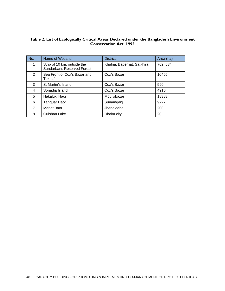### **Table 2: List of Ecologically Critical Areas Declared under the Bangladesh Environment Conservation Act, 1995**

| No.            | Name of Wetland                                                  | <b>District</b>            | Area (ha) |
|----------------|------------------------------------------------------------------|----------------------------|-----------|
| 1              | Strip of 10 km. outside the<br><b>Sundarbans Reserved Forest</b> | Khulna, Bagerhat, Satkhira | 762, 034  |
| $\overline{2}$ | Sea Front of Cox's Bazar and<br>Teknaf                           | Cox's Bazar                | 10465     |
| 3              | St Martin's Island                                               | Cox's Bazar                | 590       |
| 4              | Sonadia Island                                                   | Cox's Bazar                | 4916      |
| 5              | Hakaluki Haor                                                    | Moulvibazar                | 18383     |
| 6              | Tanguar Haor                                                     | Sunamganj                  | 9727      |
| 7              | Marjat Baor                                                      | Jhenaidaha                 | 200       |
| 8              | Gulshan Lake                                                     | Dhaka city                 | 20        |